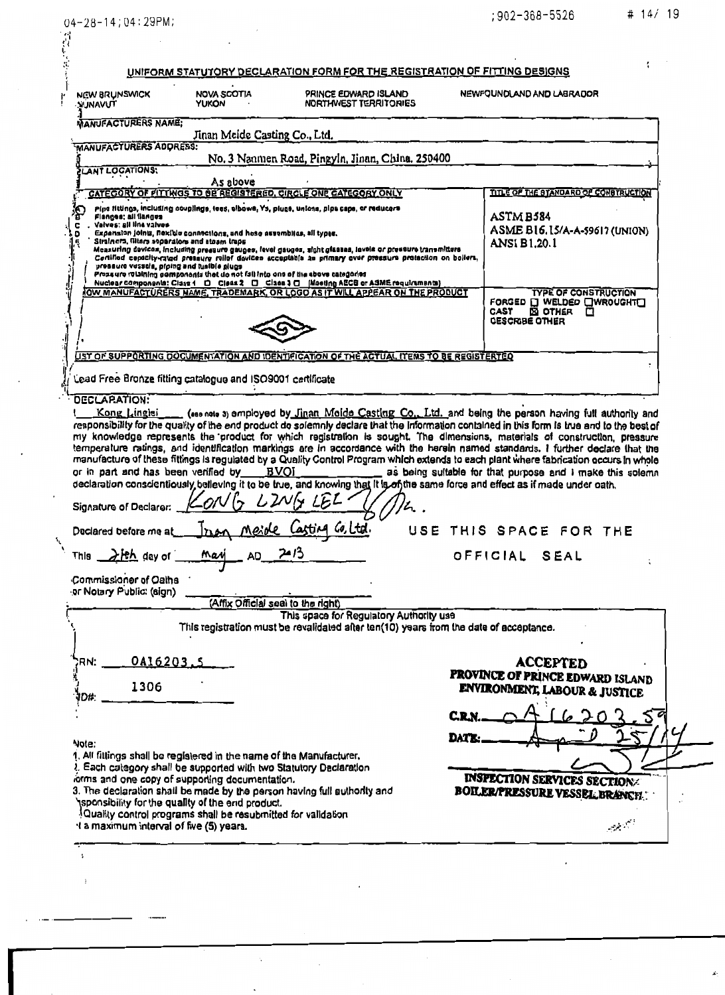| $04 - 28 - 14$ ; $04:29$ PM;                                                                                                                                                                                                                                                                                                                                                                                                                                                                                                                                                                                                                                                                                                                                                                                                                                                                |                                    |                                                                                                                                                                                                                           |               | ;902-368-5526                                                                | # 14/ 19            |
|---------------------------------------------------------------------------------------------------------------------------------------------------------------------------------------------------------------------------------------------------------------------------------------------------------------------------------------------------------------------------------------------------------------------------------------------------------------------------------------------------------------------------------------------------------------------------------------------------------------------------------------------------------------------------------------------------------------------------------------------------------------------------------------------------------------------------------------------------------------------------------------------|------------------------------------|---------------------------------------------------------------------------------------------------------------------------------------------------------------------------------------------------------------------------|---------------|------------------------------------------------------------------------------|---------------------|
|                                                                                                                                                                                                                                                                                                                                                                                                                                                                                                                                                                                                                                                                                                                                                                                                                                                                                             |                                    |                                                                                                                                                                                                                           |               |                                                                              |                     |
|                                                                                                                                                                                                                                                                                                                                                                                                                                                                                                                                                                                                                                                                                                                                                                                                                                                                                             |                                    | UNIFORM STATUTORY DECLARATION FORM FOR THE REGISTRATION OF FITTING DESIGNS                                                                                                                                                |               |                                                                              |                     |
| <b>NEW BRUNSWICK</b><br><b>TUVANUE</b>                                                                                                                                                                                                                                                                                                                                                                                                                                                                                                                                                                                                                                                                                                                                                                                                                                                      | <b>NOVA SCOTIA</b><br><b>YUKON</b> | PRINCE EDWARD ISLAND<br>NORTHWEST TERRITORIES                                                                                                                                                                             |               | NEWFOUNDLAND AND LABRADOR                                                    |                     |
| <b>MANUFACTURERS NAME;</b>                                                                                                                                                                                                                                                                                                                                                                                                                                                                                                                                                                                                                                                                                                                                                                                                                                                                  | Jinan Meide Casting Co., Ltd.      |                                                                                                                                                                                                                           |               |                                                                              |                     |
| <b>MANUFACTURERS ADDRESS:</b>                                                                                                                                                                                                                                                                                                                                                                                                                                                                                                                                                                                                                                                                                                                                                                                                                                                               |                                    |                                                                                                                                                                                                                           |               |                                                                              |                     |
| <b>ELANT LOCATIONS:</b>                                                                                                                                                                                                                                                                                                                                                                                                                                                                                                                                                                                                                                                                                                                                                                                                                                                                     |                                    | No. 3 Nanmen Road, Pingyln, Jinan, China. 250400                                                                                                                                                                          |               |                                                                              |                     |
| CATEGORY OF FITTINGS TO BE REGISTERED, CIRCLE ONE CATEGORY ONLY                                                                                                                                                                                                                                                                                                                                                                                                                                                                                                                                                                                                                                                                                                                                                                                                                             | As above                           |                                                                                                                                                                                                                           |               | TITLE OF THE STANDARD OF CONSTRUCTION                                        |                     |
| Pipe fittings, including couplings, less, elbows, Ys, plugs, unlans, pipe cape, or reducers<br>Flanges; all flanges                                                                                                                                                                                                                                                                                                                                                                                                                                                                                                                                                                                                                                                                                                                                                                         |                                    |                                                                                                                                                                                                                           |               | <b>ASTM B584</b>                                                             |                     |
| Valves: all line valves<br>Expansion joints, flexible connections, and hose assemblies, all types.                                                                                                                                                                                                                                                                                                                                                                                                                                                                                                                                                                                                                                                                                                                                                                                          |                                    |                                                                                                                                                                                                                           |               | ASME B16.15/A-A-59617 (UNION)                                                |                     |
| Strainers, filters separators and ateam traps                                                                                                                                                                                                                                                                                                                                                                                                                                                                                                                                                                                                                                                                                                                                                                                                                                               |                                    | Measuring devices, including pressure gauges, level gauges, sight glasses, levels or pressure transmitters<br>Contilled cepacity-rated pressure relief dovices acceptable as primary over pressure protection on bollers, |               | <b>ANSI B1.20.1</b>                                                          |                     |
| pressure vessels, ploing and fusible plugs<br>Pressure retaining components that do not fail into one of the above categories                                                                                                                                                                                                                                                                                                                                                                                                                                                                                                                                                                                                                                                                                                                                                               |                                    |                                                                                                                                                                                                                           |               |                                                                              |                     |
| OW MANUFACTURERS NAME, TRADEMARK, OR LOGO AS IT WILL APPEAR ON THE PRODUCT                                                                                                                                                                                                                                                                                                                                                                                                                                                                                                                                                                                                                                                                                                                                                                                                                  |                                    | Nuclear components: Class 1 0 Class 2 0 Class 3 0 [Moeting AECB or ASME requirements]                                                                                                                                     |               | <b>TYPE OF CONSTRUCTION</b>                                                  |                     |
|                                                                                                                                                                                                                                                                                                                                                                                                                                                                                                                                                                                                                                                                                                                                                                                                                                                                                             |                                    |                                                                                                                                                                                                                           |               | FORGED I WELDED I WROUGHT<br>CAST<br>□<br>ES OTHER<br><b>DESCRIBE OTHER</b>  |                     |
| LIST OF SUPPORTING DOCUMENTATION AND IDENTIFICATION OF THE ACTUAL ITEMS TO BE REGISTERTED                                                                                                                                                                                                                                                                                                                                                                                                                                                                                                                                                                                                                                                                                                                                                                                                   |                                    |                                                                                                                                                                                                                           |               |                                                                              |                     |
|                                                                                                                                                                                                                                                                                                                                                                                                                                                                                                                                                                                                                                                                                                                                                                                                                                                                                             |                                    |                                                                                                                                                                                                                           |               |                                                                              |                     |
| Lead Free Bronze fitting catalogue and ISO9001 certificate                                                                                                                                                                                                                                                                                                                                                                                                                                                                                                                                                                                                                                                                                                                                                                                                                                  |                                    |                                                                                                                                                                                                                           |               |                                                                              |                     |
| Kong Linglei                                                                                                                                                                                                                                                                                                                                                                                                                                                                                                                                                                                                                                                                                                                                                                                                                                                                                |                                    | (ess nots 3) employed by Jinan Moide Casting Co., Ltd. and being the person having full authority and                                                                                                                     |               |                                                                              |                     |
|                                                                                                                                                                                                                                                                                                                                                                                                                                                                                                                                                                                                                                                                                                                                                                                                                                                                                             | <b>BVOI</b>                        |                                                                                                                                                                                                                           |               | as being suitable for that purpose and I make this solemn                    |                     |
|                                                                                                                                                                                                                                                                                                                                                                                                                                                                                                                                                                                                                                                                                                                                                                                                                                                                                             | Meide                              | arting Co. Ital<br>USE                                                                                                                                                                                                    | THIS          | SPACE FOR                                                                    |                     |
|                                                                                                                                                                                                                                                                                                                                                                                                                                                                                                                                                                                                                                                                                                                                                                                                                                                                                             | 24/3<br>May<br>AD                  |                                                                                                                                                                                                                           |               | OFFICIAL SEAL                                                                |                     |
|                                                                                                                                                                                                                                                                                                                                                                                                                                                                                                                                                                                                                                                                                                                                                                                                                                                                                             |                                    |                                                                                                                                                                                                                           |               |                                                                              |                     |
|                                                                                                                                                                                                                                                                                                                                                                                                                                                                                                                                                                                                                                                                                                                                                                                                                                                                                             |                                    |                                                                                                                                                                                                                           |               |                                                                              |                     |
|                                                                                                                                                                                                                                                                                                                                                                                                                                                                                                                                                                                                                                                                                                                                                                                                                                                                                             | (Affix Official seal to the right) | This space for Regulatory Authority use<br>This registration must be revalidated after ten(10) years from the date of acceptance.                                                                                         |               |                                                                              |                     |
| <b>DECLARATION:</b><br>responsibility for the quality of the end product do solemnly declare that the information contained in this form is true and to the best of<br>my knowledge represents the product for which registration is sought. The dimensions, materials of construction, pressure<br>temperature ratings, and identification markings are in accordance with the herein named standards. I further declare that the<br>manufacture of these fittings is regulated by a Quality Control Program which extends to each plant where fabrication occurs in whole<br>or in part and has been verified by_<br>declaration conscientiously belleving it to be true, and knowing that it la of the same force and effect as if made under oath.<br>Signature of Declarer:<br>Declared before me at<br>This $\lambda$ fth day of<br>Commissioner of Oalha<br>or Notary Public: (sign) |                                    |                                                                                                                                                                                                                           |               |                                                                              |                     |
| 0A16203.5<br>RN:<br>1306                                                                                                                                                                                                                                                                                                                                                                                                                                                                                                                                                                                                                                                                                                                                                                                                                                                                    |                                    |                                                                                                                                                                                                                           |               | <b>ACCEPTED</b><br>PROVINCE OF PRINCE EDWARD ISLAND                          |                     |
| D#:                                                                                                                                                                                                                                                                                                                                                                                                                                                                                                                                                                                                                                                                                                                                                                                                                                                                                         |                                    |                                                                                                                                                                                                                           | <b>C.R.N.</b> | ENVIRONMENT, LABOUR & JUSTICE                                                |                     |
|                                                                                                                                                                                                                                                                                                                                                                                                                                                                                                                                                                                                                                                                                                                                                                                                                                                                                             |                                    |                                                                                                                                                                                                                           | DATE:         |                                                                              |                     |
|                                                                                                                                                                                                                                                                                                                                                                                                                                                                                                                                                                                                                                                                                                                                                                                                                                                                                             |                                    |                                                                                                                                                                                                                           |               |                                                                              |                     |
| Note:<br>1. All fittings shall be registered in the name of the Manufacturer.<br>2. Each category shall be supported with two Statutory Declaration<br>iorms and one copy of supporting documentation.<br>3. The declaration shall be made by the person having full authority and                                                                                                                                                                                                                                                                                                                                                                                                                                                                                                                                                                                                          |                                    |                                                                                                                                                                                                                           |               | <b>INSPECTION SERVICES SECTIONS</b><br><b>BOILER/PRESSURE VESSEL BRANCH.</b> |                     |
| sponsibility for the quality of the end product.<br>Quality control programs shall be resubmitted for validation<br>It a maximum interval of five (5) years.                                                                                                                                                                                                                                                                                                                                                                                                                                                                                                                                                                                                                                                                                                                                |                                    |                                                                                                                                                                                                                           |               |                                                                              | $\mathcal{A}^{(1)}$ |

 $\label{eq:2.1} \frac{1}{2} \sum_{i=1}^n \frac{1}{2} \sum_{j=1}^n \frac{1}{2} \sum_{j=1}^n \frac{1}{2} \sum_{j=1}^n \frac{1}{2} \sum_{j=1}^n \frac{1}{2} \sum_{j=1}^n \frac{1}{2} \sum_{j=1}^n \frac{1}{2} \sum_{j=1}^n \frac{1}{2} \sum_{j=1}^n \frac{1}{2} \sum_{j=1}^n \frac{1}{2} \sum_{j=1}^n \frac{1}{2} \sum_{j=1}^n \frac{1}{2} \sum_{j=1}^n \frac{$ 

 $\ddot{\phantom{0}}$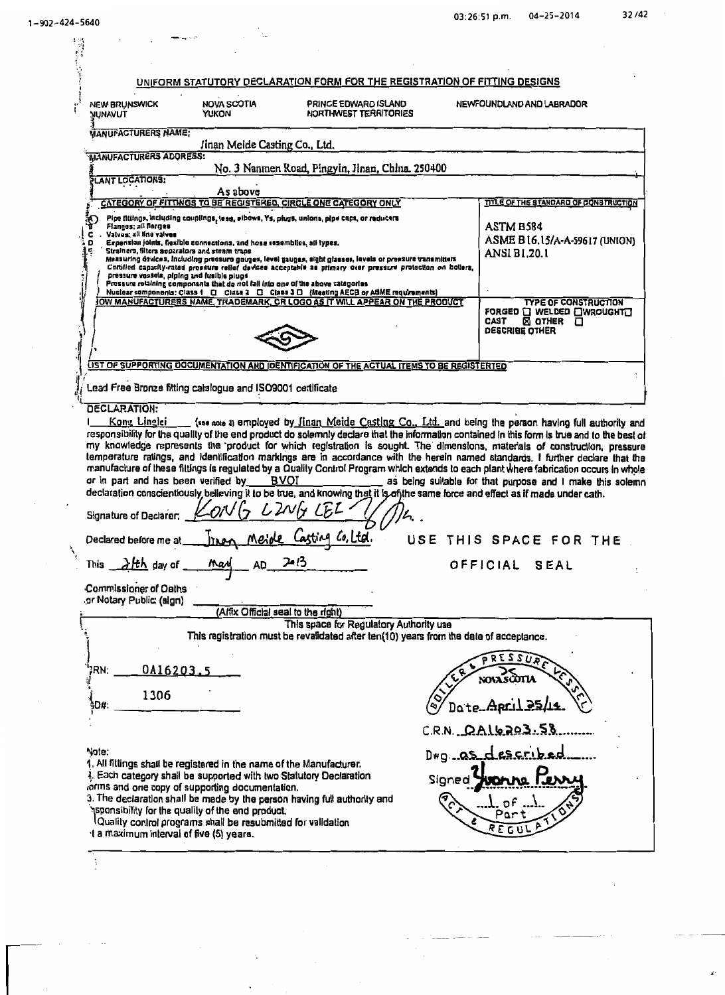$\frac{1}{2}$ 

 $\bar{\mathbf{v}}$ 

 $\sim$ 

| NOVA SCOTIA<br>PRINCE EDWARD ISLAND<br>NORTHWEST TERRITORIES<br>Jinan Meide Casting Co., Ltd.<br>No. 3 Nanmen Road, Pingyin, Jinan, China. 250400<br>As above<br>CATEGORY OF FITTINGS TO BE REGISTERED, CIRCLE ONE CATEGORY ONLY<br>Pipe fittings, including couplings, tees, elbows, Ys, plugs, unions, pipe caps, or reducers<br>Expension joints, flexible connections, and hose assemblies, all types.<br>Strainers, filters separators and steam traps<br>Measuring devices, including pressure gouges, level gauges, sight glasses, levels or pressure transmitters<br>Certified capacity-rated pressure relief devices acceptable as primary over pressure protection on bollers,<br>pressure vossels, piping and fusible plugs<br>Pressure retaining components that do not fail into one of the above categories<br>Nuclear components: Class 1 0 Clasa 2 0 Class 3 0 (Meeting AECB or ASME requirements)<br>JOW MANUFACTURERS NAME, TRADEMARK, OR LOGO AS IT WILL APPEAR ON THE PRODUCT<br>LIST OF SUPPORTING DOCUMENTATION AND IDENTIFICATION OF THE ACTUAL ITEMS TO BE REGISTERTED<br>Lead Free Bronze fitting catalogue and ISO9001 certificate<br>responsibility for the quality of the end product do solemnly declare that the information contained in this form is true and to the best of<br>my knowledge represents the product for which registration is sought. The dimensions, materials of construction, pressure<br>temperature ratings, and identification markings are in accordance with the herein named standards. I further declare that the |                                                                                                      | NEWFOUNDLAND AND LABRADOR<br>TITLE OF THE STANDARD OF CONSTRUCTION<br><b>ASTM B584</b><br>ASME B16.15/A-A-59617 (UNION)<br><b>ANSI B1.20.1</b><br><b>TYPE OF CONSTRUCTION</b><br>FORGED [ WELDED [ WROUGHT ]<br>$\overline{\boxtimes}$ other $\overline{\Box}$<br><b>CAST</b><br><b>OESCRIBE OTHER</b><br>(see note 3) employed by Jinan Meide Casting Co., Ltd. and being the person having full authority and                                                                           |
|-----------------------------------------------------------------------------------------------------------------------------------------------------------------------------------------------------------------------------------------------------------------------------------------------------------------------------------------------------------------------------------------------------------------------------------------------------------------------------------------------------------------------------------------------------------------------------------------------------------------------------------------------------------------------------------------------------------------------------------------------------------------------------------------------------------------------------------------------------------------------------------------------------------------------------------------------------------------------------------------------------------------------------------------------------------------------------------------------------------------------------------------------------------------------------------------------------------------------------------------------------------------------------------------------------------------------------------------------------------------------------------------------------------------------------------------------------------------------------------------------------------------------------------------------------------------------------|------------------------------------------------------------------------------------------------------|-------------------------------------------------------------------------------------------------------------------------------------------------------------------------------------------------------------------------------------------------------------------------------------------------------------------------------------------------------------------------------------------------------------------------------------------------------------------------------------------|
|                                                                                                                                                                                                                                                                                                                                                                                                                                                                                                                                                                                                                                                                                                                                                                                                                                                                                                                                                                                                                                                                                                                                                                                                                                                                                                                                                                                                                                                                                                                                                                             |                                                                                                      |                                                                                                                                                                                                                                                                                                                                                                                                                                                                                           |
|                                                                                                                                                                                                                                                                                                                                                                                                                                                                                                                                                                                                                                                                                                                                                                                                                                                                                                                                                                                                                                                                                                                                                                                                                                                                                                                                                                                                                                                                                                                                                                             |                                                                                                      |                                                                                                                                                                                                                                                                                                                                                                                                                                                                                           |
|                                                                                                                                                                                                                                                                                                                                                                                                                                                                                                                                                                                                                                                                                                                                                                                                                                                                                                                                                                                                                                                                                                                                                                                                                                                                                                                                                                                                                                                                                                                                                                             |                                                                                                      |                                                                                                                                                                                                                                                                                                                                                                                                                                                                                           |
|                                                                                                                                                                                                                                                                                                                                                                                                                                                                                                                                                                                                                                                                                                                                                                                                                                                                                                                                                                                                                                                                                                                                                                                                                                                                                                                                                                                                                                                                                                                                                                             |                                                                                                      |                                                                                                                                                                                                                                                                                                                                                                                                                                                                                           |
|                                                                                                                                                                                                                                                                                                                                                                                                                                                                                                                                                                                                                                                                                                                                                                                                                                                                                                                                                                                                                                                                                                                                                                                                                                                                                                                                                                                                                                                                                                                                                                             |                                                                                                      |                                                                                                                                                                                                                                                                                                                                                                                                                                                                                           |
|                                                                                                                                                                                                                                                                                                                                                                                                                                                                                                                                                                                                                                                                                                                                                                                                                                                                                                                                                                                                                                                                                                                                                                                                                                                                                                                                                                                                                                                                                                                                                                             |                                                                                                      |                                                                                                                                                                                                                                                                                                                                                                                                                                                                                           |
|                                                                                                                                                                                                                                                                                                                                                                                                                                                                                                                                                                                                                                                                                                                                                                                                                                                                                                                                                                                                                                                                                                                                                                                                                                                                                                                                                                                                                                                                                                                                                                             |                                                                                                      |                                                                                                                                                                                                                                                                                                                                                                                                                                                                                           |
|                                                                                                                                                                                                                                                                                                                                                                                                                                                                                                                                                                                                                                                                                                                                                                                                                                                                                                                                                                                                                                                                                                                                                                                                                                                                                                                                                                                                                                                                                                                                                                             |                                                                                                      |                                                                                                                                                                                                                                                                                                                                                                                                                                                                                           |
|                                                                                                                                                                                                                                                                                                                                                                                                                                                                                                                                                                                                                                                                                                                                                                                                                                                                                                                                                                                                                                                                                                                                                                                                                                                                                                                                                                                                                                                                                                                                                                             |                                                                                                      |                                                                                                                                                                                                                                                                                                                                                                                                                                                                                           |
|                                                                                                                                                                                                                                                                                                                                                                                                                                                                                                                                                                                                                                                                                                                                                                                                                                                                                                                                                                                                                                                                                                                                                                                                                                                                                                                                                                                                                                                                                                                                                                             |                                                                                                      |                                                                                                                                                                                                                                                                                                                                                                                                                                                                                           |
|                                                                                                                                                                                                                                                                                                                                                                                                                                                                                                                                                                                                                                                                                                                                                                                                                                                                                                                                                                                                                                                                                                                                                                                                                                                                                                                                                                                                                                                                                                                                                                             |                                                                                                      |                                                                                                                                                                                                                                                                                                                                                                                                                                                                                           |
| or in part and has been verified by BVOI                                                                                                                                                                                                                                                                                                                                                                                                                                                                                                                                                                                                                                                                                                                                                                                                                                                                                                                                                                                                                                                                                                                                                                                                                                                                                                                                                                                                                                                                                                                                    |                                                                                                      | as being suitable for that purpose and I make this solemn                                                                                                                                                                                                                                                                                                                                                                                                                                 |
|                                                                                                                                                                                                                                                                                                                                                                                                                                                                                                                                                                                                                                                                                                                                                                                                                                                                                                                                                                                                                                                                                                                                                                                                                                                                                                                                                                                                                                                                                                                                                                             |                                                                                                      |                                                                                                                                                                                                                                                                                                                                                                                                                                                                                           |
|                                                                                                                                                                                                                                                                                                                                                                                                                                                                                                                                                                                                                                                                                                                                                                                                                                                                                                                                                                                                                                                                                                                                                                                                                                                                                                                                                                                                                                                                                                                                                                             | USE                                                                                                  | THIS SPACE FOR THE                                                                                                                                                                                                                                                                                                                                                                                                                                                                        |
|                                                                                                                                                                                                                                                                                                                                                                                                                                                                                                                                                                                                                                                                                                                                                                                                                                                                                                                                                                                                                                                                                                                                                                                                                                                                                                                                                                                                                                                                                                                                                                             |                                                                                                      | OFFICIAL<br><b>SEAL</b>                                                                                                                                                                                                                                                                                                                                                                                                                                                                   |
|                                                                                                                                                                                                                                                                                                                                                                                                                                                                                                                                                                                                                                                                                                                                                                                                                                                                                                                                                                                                                                                                                                                                                                                                                                                                                                                                                                                                                                                                                                                                                                             |                                                                                                      |                                                                                                                                                                                                                                                                                                                                                                                                                                                                                           |
| (Affix Official seal to the right)                                                                                                                                                                                                                                                                                                                                                                                                                                                                                                                                                                                                                                                                                                                                                                                                                                                                                                                                                                                                                                                                                                                                                                                                                                                                                                                                                                                                                                                                                                                                          |                                                                                                      |                                                                                                                                                                                                                                                                                                                                                                                                                                                                                           |
|                                                                                                                                                                                                                                                                                                                                                                                                                                                                                                                                                                                                                                                                                                                                                                                                                                                                                                                                                                                                                                                                                                                                                                                                                                                                                                                                                                                                                                                                                                                                                                             |                                                                                                      |                                                                                                                                                                                                                                                                                                                                                                                                                                                                                           |
|                                                                                                                                                                                                                                                                                                                                                                                                                                                                                                                                                                                                                                                                                                                                                                                                                                                                                                                                                                                                                                                                                                                                                                                                                                                                                                                                                                                                                                                                                                                                                                             |                                                                                                      | 55 ل 5                                                                                                                                                                                                                                                                                                                                                                                                                                                                                    |
|                                                                                                                                                                                                                                                                                                                                                                                                                                                                                                                                                                                                                                                                                                                                                                                                                                                                                                                                                                                                                                                                                                                                                                                                                                                                                                                                                                                                                                                                                                                                                                             |                                                                                                      | NOVASCOTIA                                                                                                                                                                                                                                                                                                                                                                                                                                                                                |
|                                                                                                                                                                                                                                                                                                                                                                                                                                                                                                                                                                                                                                                                                                                                                                                                                                                                                                                                                                                                                                                                                                                                                                                                                                                                                                                                                                                                                                                                                                                                                                             |                                                                                                      | Date April 35/14                                                                                                                                                                                                                                                                                                                                                                                                                                                                          |
|                                                                                                                                                                                                                                                                                                                                                                                                                                                                                                                                                                                                                                                                                                                                                                                                                                                                                                                                                                                                                                                                                                                                                                                                                                                                                                                                                                                                                                                                                                                                                                             |                                                                                                      | C.R.N. QALGRO3.58                                                                                                                                                                                                                                                                                                                                                                                                                                                                         |
| 1. All fittings shall be registered in the name of the Manufacturer.<br>4. Each category shall be supported with two Statutory Declaration                                                                                                                                                                                                                                                                                                                                                                                                                                                                                                                                                                                                                                                                                                                                                                                                                                                                                                                                                                                                                                                                                                                                                                                                                                                                                                                                                                                                                                  | Signed                                                                                               | $Dwg$ as described<br><b>PENAL</b>                                                                                                                                                                                                                                                                                                                                                                                                                                                        |
|                                                                                                                                                                                                                                                                                                                                                                                                                                                                                                                                                                                                                                                                                                                                                                                                                                                                                                                                                                                                                                                                                                                                                                                                                                                                                                                                                                                                                                                                                                                                                                             | iorins and one copy of supporting documentation.<br>sponsibility for the quality of the end product. | manufacture of these filtings is regulated by a Quality Control Program which extends to each plant where fabrication occurs in whole<br>declaration conscientiously believing it to be true, and knowing that it is of the same force and effect as if made under oath.<br>This space for Regulatory Authority use<br>This registration must be revalidated after ten(10) years from the date of acceptance.<br>3. The declaration shall be made by the person having full authority and |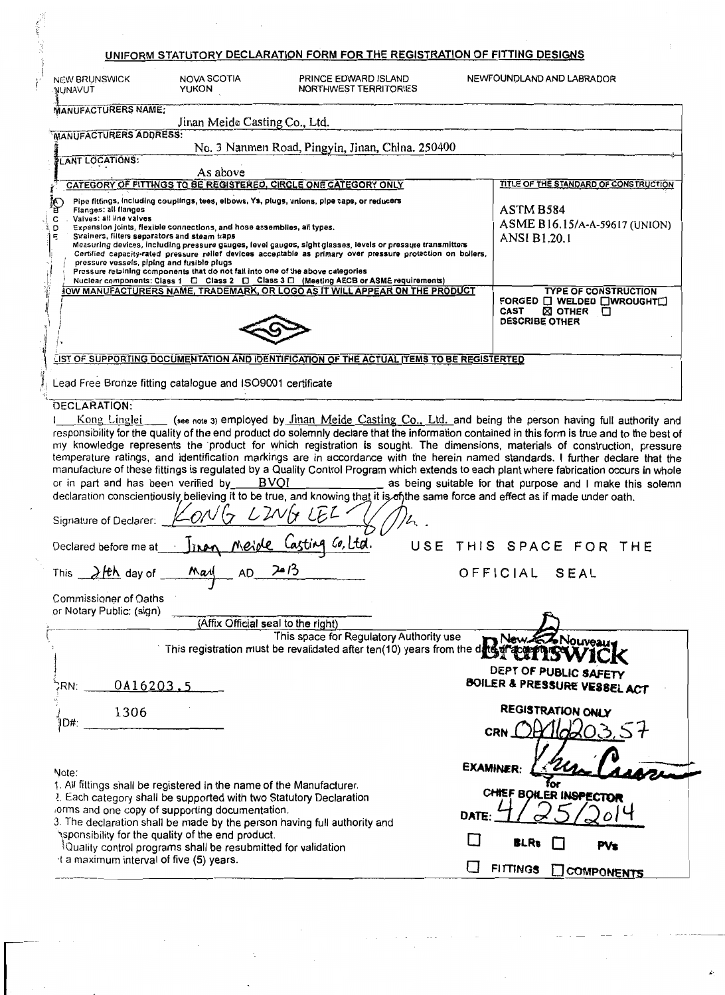|                                                                                                                                                                                                                                                                                                                                        |                                                                                                                                                            |                                    |                                                                                                                                                                                                                                                                                                                    |     | UNIFORM STATUTORY DECLARATION FORM FOR THE REGISTRATION OF FITTING DESIGNS |                                                                                                                                                                                                                                                                                                                                                                                                                                                                   |
|----------------------------------------------------------------------------------------------------------------------------------------------------------------------------------------------------------------------------------------------------------------------------------------------------------------------------------------|------------------------------------------------------------------------------------------------------------------------------------------------------------|------------------------------------|--------------------------------------------------------------------------------------------------------------------------------------------------------------------------------------------------------------------------------------------------------------------------------------------------------------------|-----|----------------------------------------------------------------------------|-------------------------------------------------------------------------------------------------------------------------------------------------------------------------------------------------------------------------------------------------------------------------------------------------------------------------------------------------------------------------------------------------------------------------------------------------------------------|
| <b>NEW BRUNSWICK</b><br>NUNAVUT                                                                                                                                                                                                                                                                                                        | NOVA SCOTIA<br><b>YUKON</b>                                                                                                                                |                                    | PRINCE EDWARD ISLAND<br>NORTHWEST TERRITORIES                                                                                                                                                                                                                                                                      |     | NEWFOUNDLAND AND LABRADOR                                                  |                                                                                                                                                                                                                                                                                                                                                                                                                                                                   |
| <b>WANUFACTURERS NAME;</b>                                                                                                                                                                                                                                                                                                             |                                                                                                                                                            | Jinan Meide Casting Co., Ltd.      |                                                                                                                                                                                                                                                                                                                    |     |                                                                            |                                                                                                                                                                                                                                                                                                                                                                                                                                                                   |
| <b>MANUFACTURERS ADDRESS:</b>                                                                                                                                                                                                                                                                                                          |                                                                                                                                                            |                                    |                                                                                                                                                                                                                                                                                                                    |     |                                                                            |                                                                                                                                                                                                                                                                                                                                                                                                                                                                   |
| LANT LOCATIONS:                                                                                                                                                                                                                                                                                                                        |                                                                                                                                                            |                                    | No. 3 Nanmen Road, Pingyin, Jinan, China. 250400                                                                                                                                                                                                                                                                   |     |                                                                            |                                                                                                                                                                                                                                                                                                                                                                                                                                                                   |
|                                                                                                                                                                                                                                                                                                                                        | As above                                                                                                                                                   |                                    |                                                                                                                                                                                                                                                                                                                    |     |                                                                            |                                                                                                                                                                                                                                                                                                                                                                                                                                                                   |
| CATEGORY OF FITTINGS TO BE REGISTERED, CIRCLE ONE CATEGORY ONLY                                                                                                                                                                                                                                                                        |                                                                                                                                                            |                                    |                                                                                                                                                                                                                                                                                                                    |     |                                                                            | TITLE OF THE STANDARD OF CONSTRUCTION                                                                                                                                                                                                                                                                                                                                                                                                                             |
| Pipe fittings, including couplings, tees, elbows, Ys, plugs, unions, pipe caps, or reducers<br>Flanges; all flanges<br>Valves: all line valves<br>с<br>D<br>Strainers, filters separators and steam traps<br>Ę<br>pressure vessels, piping and fusible plugs                                                                           | Expansion joints, flexible connections, and hose assemblies, all types.<br>Pressure retaining components that do not fall into one of the above categories |                                    | Measuring devices, including pressure gauges, level gauges, sight glasses, levels or pressure transmitters<br>Certified capacity-rated pressure rellef devices acceptable as primary over pressure protection on bollers,<br>Nuclear components: Class 1 [ Class 2 [ Class 3 □ (Meeting AECB or ASME requirements) |     | ASTM B584<br><b>ANSI B1.20.1</b>                                           | ASME B16.15/A-A-59617 (UNION)                                                                                                                                                                                                                                                                                                                                                                                                                                     |
| <b>JOW MANUFACTURERS NAME, TRADEMARK, OR LOGO AS IT WILL APPEAR ON THE PRODUCT</b>                                                                                                                                                                                                                                                     |                                                                                                                                                            |                                    |                                                                                                                                                                                                                                                                                                                    |     |                                                                            | <b>TYPE OF CONSTRUCTION</b><br>FORGED □ WELDED □WROUGHT□                                                                                                                                                                                                                                                                                                                                                                                                          |
|                                                                                                                                                                                                                                                                                                                                        |                                                                                                                                                            |                                    |                                                                                                                                                                                                                                                                                                                    |     | <b>CAST</b><br><b>DESCRIBE OTHER</b>                                       | $\boxtimes$ other $\Box$                                                                                                                                                                                                                                                                                                                                                                                                                                          |
| LIST OF SUPPORTING DOCUMENTATION AND IDENTIFICATION OF THE ACTUAL ITEMS TO BE REGISTERTED                                                                                                                                                                                                                                              |                                                                                                                                                            |                                    |                                                                                                                                                                                                                                                                                                                    |     |                                                                            |                                                                                                                                                                                                                                                                                                                                                                                                                                                                   |
| Lead Free Bronze fitting catalogue and ISO9001 certificate                                                                                                                                                                                                                                                                             |                                                                                                                                                            |                                    |                                                                                                                                                                                                                                                                                                                    |     |                                                                            |                                                                                                                                                                                                                                                                                                                                                                                                                                                                   |
| <b>DECLARATION:</b>                                                                                                                                                                                                                                                                                                                    |                                                                                                                                                            |                                    |                                                                                                                                                                                                                                                                                                                    |     |                                                                            | Kong Linglei (see note 3) employed by Jinan Meide Casting Co., Ltd. and being the person having full authority and                                                                                                                                                                                                                                                                                                                                                |
| or in part and has been verified by BVQI<br>declaration conscientiously believing it to be true, and knowing that it is of the same force and effect as if made under oath.<br>Signature of Declarer:                                                                                                                                  |                                                                                                                                                            |                                    |                                                                                                                                                                                                                                                                                                                    |     |                                                                            | my knowledge represents the product for which registration is sought. The dimensions, materials of construction, pressure<br>temperature ratings, and identification markings are in accordance with the herein named standards. I further declare that the<br>manufacture of these fittings is regulated by a Quality Control Program which extends to each plant where fabrication occurs in whole<br>as being suitable for that purpose and I make this solemn |
| Declared before me at                                                                                                                                                                                                                                                                                                                  |                                                                                                                                                            |                                    |                                                                                                                                                                                                                                                                                                                    | USF |                                                                            | THIS SPACE FOR THE                                                                                                                                                                                                                                                                                                                                                                                                                                                |
| This alth day of                                                                                                                                                                                                                                                                                                                       | May                                                                                                                                                        | AD<br>د اھر                        |                                                                                                                                                                                                                                                                                                                    |     | OFFICIAL                                                                   | SEAL                                                                                                                                                                                                                                                                                                                                                                                                                                                              |
| Commissioner of Oaths<br>or Notary Public: (sign)                                                                                                                                                                                                                                                                                      |                                                                                                                                                            |                                    |                                                                                                                                                                                                                                                                                                                    |     |                                                                            |                                                                                                                                                                                                                                                                                                                                                                                                                                                                   |
|                                                                                                                                                                                                                                                                                                                                        |                                                                                                                                                            | (Affix Official seal to the right) |                                                                                                                                                                                                                                                                                                                    |     |                                                                            |                                                                                                                                                                                                                                                                                                                                                                                                                                                                   |
|                                                                                                                                                                                                                                                                                                                                        |                                                                                                                                                            |                                    | This space for Regulatory Authority use<br>This registration must be revalidated after ten(10) years from the date                                                                                                                                                                                                 |     |                                                                            | <b>Nouveau</b><br>DEPT OF PUBLIC SAFETY                                                                                                                                                                                                                                                                                                                                                                                                                           |
| <u>0A16203.5</u><br>:RN:                                                                                                                                                                                                                                                                                                               |                                                                                                                                                            |                                    |                                                                                                                                                                                                                                                                                                                    |     |                                                                            | BOILER & PRESSURE VESSEL ACT                                                                                                                                                                                                                                                                                                                                                                                                                                      |
| 1306<br>ID#:                                                                                                                                                                                                                                                                                                                           |                                                                                                                                                            |                                    |                                                                                                                                                                                                                                                                                                                    |     | CRN                                                                        | <b>REGISTRATION ONLY</b>                                                                                                                                                                                                                                                                                                                                                                                                                                          |
| Note:<br>1. All fittings shall be registered in the name of the Manufacturer.<br>2. Each category shall be supported with two Statutory Declaration<br>lorms and one copy of supporting documentation.<br>3. The declaration shall be made by the person having full authority and<br>sponsibility for the quality of the end product. |                                                                                                                                                            |                                    |                                                                                                                                                                                                                                                                                                                    |     | <b>EXAMINER:</b><br>DATE:<br><b>BLRS</b>                                   | for<br>CHIEF BOILER INSPECTOR<br>PV s                                                                                                                                                                                                                                                                                                                                                                                                                             |
| Quality control programs shall be resubmitted for validation<br>it a maximum interval of five (5) years.                                                                                                                                                                                                                               |                                                                                                                                                            |                                    |                                                                                                                                                                                                                                                                                                                    |     |                                                                            | FITTINGS COMPONENTS                                                                                                                                                                                                                                                                                                                                                                                                                                               |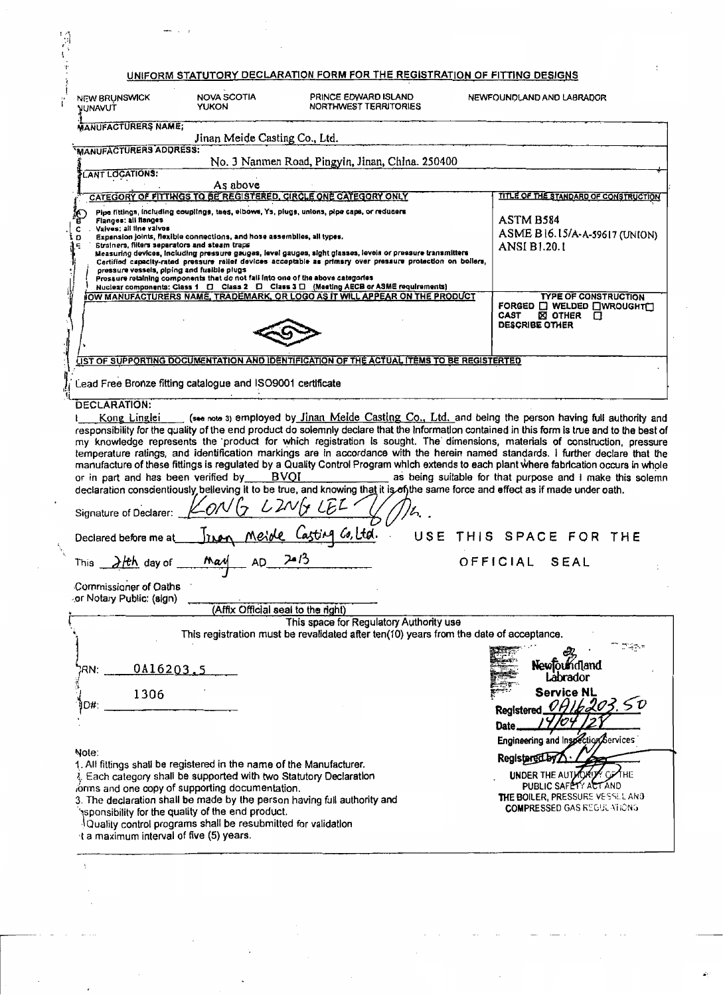|                                                                                                                                           |                                    | UNIFORM STATUTORY DECLARATION FORM FOR THE REGISTRATION OF FITTING DESIGNS                                                                                                                                                                                              |     |          |                                                           |                             |  |
|-------------------------------------------------------------------------------------------------------------------------------------------|------------------------------------|-------------------------------------------------------------------------------------------------------------------------------------------------------------------------------------------------------------------------------------------------------------------------|-----|----------|-----------------------------------------------------------|-----------------------------|--|
| NEW BRUNSWICK<br><b>TUVANUT</b>                                                                                                           | <b>NOVA SCOTIA</b><br><b>YUKON</b> | PRINCE EDWARD ISLAND<br><b>NORTHWEST TERRITORIES</b>                                                                                                                                                                                                                    |     |          | NEWFOUNDLAND AND LABRADOR                                 |                             |  |
| <b>MANUFACTURERS NAME;</b>                                                                                                                | Jinan Meide Casting Co., Ltd.      |                                                                                                                                                                                                                                                                         |     |          |                                                           |                             |  |
| <b>MANUFACTURERS ADDRESS:</b>                                                                                                             |                                    |                                                                                                                                                                                                                                                                         |     |          |                                                           |                             |  |
| <b>LANT LOCATIONS:</b>                                                                                                                    |                                    | No. 3 Nanmen Road, Pingyin, Jinan, China. 250400                                                                                                                                                                                                                        |     |          |                                                           |                             |  |
|                                                                                                                                           | As above                           |                                                                                                                                                                                                                                                                         |     |          | TITLE OF THE STANDARD OF CONSTRUCTION                     |                             |  |
|                                                                                                                                           |                                    | CATEGORY OF FITTINGS TO BE REGISTERED, CIRCLE ONE CATEGORY ONLY<br>Pipe fittings, including couplings, tees, elbows, Ys, plugs, unions, pipe caps, or reducers                                                                                                          |     |          |                                                           |                             |  |
| Flanges: all flanges<br>Vaives: all line valves                                                                                           |                                    |                                                                                                                                                                                                                                                                         |     |          | ASTM B584<br>ASME B16.15/A-A-59617 (UNION)                |                             |  |
| Expansion joints, flexible connections, and hose assemblies, all types.<br>Strainers, filters separators and steam traps                  |                                    |                                                                                                                                                                                                                                                                         |     |          | <b>ANSI B1.20.1</b>                                       |                             |  |
| pressure vessels, piping and fusible plugs                                                                                                |                                    | Measuring devices, including pressure gauges, level gauges, sight glasses, levels or pressure transmitters<br>Certified capacity-rated pressure relief devices acceptable as primary over pressure protection on bollers.                                               |     |          |                                                           |                             |  |
| Prossure retaining components that do not fail into one of the above categories                                                           |                                    | Nuclear components: Class 1 □ Class 2 □ Class 3 □ [Meeting AECB or ASME requirements)                                                                                                                                                                                   |     |          |                                                           |                             |  |
|                                                                                                                                           |                                    | OW MANUFACTURERS NAME, TRADEMARK, OR LOGO AS IT WILL APPEAR ON THE PRODUCT                                                                                                                                                                                              |     |          | FORGED [] WELDED [] WROUGHT[]                             | <b>TYPE OF CONSTRUCTION</b> |  |
|                                                                                                                                           |                                    |                                                                                                                                                                                                                                                                         |     |          | CAST<br><b>DESCRIBE OTHER</b>                             | ⊠ OTHER □                   |  |
|                                                                                                                                           |                                    |                                                                                                                                                                                                                                                                         |     |          |                                                           |                             |  |
|                                                                                                                                           |                                    | LIST OF SUPPORTING DOCUMENTATION AND IDENTIFICATION OF THE ACTUAL ITEMS TO BE REGISTERTED                                                                                                                                                                               |     |          |                                                           |                             |  |
| Lead Free Bronze fitting catalogue and ISO9001 certificate                                                                                |                                    |                                                                                                                                                                                                                                                                         |     |          |                                                           |                             |  |
| <b>DECLARATION:</b>                                                                                                                       |                                    |                                                                                                                                                                                                                                                                         |     |          |                                                           |                             |  |
| Kong Linglei                                                                                                                              |                                    | (see note 3) employed by Jinan Melde Casting Co., Ltd. and being the person having full authority and<br>responsibility for the quality of the end product do solemnly declare that the Information contained in this form is true and to the best of                   |     |          |                                                           |                             |  |
|                                                                                                                                           |                                    | my knowledge represents the product for which registration is sought. The dimensions, materials of construction, pressure                                                                                                                                               |     |          |                                                           |                             |  |
|                                                                                                                                           |                                    | temperature ratings, and identification markings are in accordance with the herein named standards. I further declare that the<br>manufacture of these fittings is regulated by a Quality Control Program which extends to each plant where fabrication occurs in whole |     |          |                                                           |                             |  |
| or in part and has been verified by BVOI                                                                                                  |                                    |                                                                                                                                                                                                                                                                         |     |          | as being suitable for that purpose and I make this solemn |                             |  |
|                                                                                                                                           |                                    | declaration conscientiously believing it to be true, and knowing that it is of the same force and effect as if made under oath.                                                                                                                                         |     |          |                                                           |                             |  |
| Signature of Declarer:                                                                                                                    |                                    |                                                                                                                                                                                                                                                                         |     |          |                                                           |                             |  |
| Declared before me at                                                                                                                     |                                    |                                                                                                                                                                                                                                                                         | USE |          | SPACE FOR THE                                             |                             |  |
| This $\rightarrow$ Hth day of                                                                                                             | may<br>AD                          | د≀م⁄                                                                                                                                                                                                                                                                    |     | OFFICIAL |                                                           | SEAL                        |  |
| Commissioner of Oaths                                                                                                                     |                                    |                                                                                                                                                                                                                                                                         |     |          |                                                           |                             |  |
| or Notary Public: (sign)                                                                                                                  | (Affix Official seal to the right) |                                                                                                                                                                                                                                                                         |     |          |                                                           |                             |  |
|                                                                                                                                           |                                    | This space for Regulatory Authority use                                                                                                                                                                                                                                 |     |          |                                                           |                             |  |
|                                                                                                                                           |                                    | This registration must be revalidated after ten(10) years from the date of acceptance.                                                                                                                                                                                  |     |          |                                                           |                             |  |
| 0A16203.5<br>RN:                                                                                                                          |                                    |                                                                                                                                                                                                                                                                         |     |          |                                                           | Newfoundland                |  |
|                                                                                                                                           |                                    |                                                                                                                                                                                                                                                                         |     |          |                                                           | Labrador                    |  |
| 1306<br>D#:                                                                                                                               |                                    |                                                                                                                                                                                                                                                                         |     |          |                                                           | <b>Service NL</b><br>203    |  |
|                                                                                                                                           |                                    |                                                                                                                                                                                                                                                                         |     |          | Registered.<br>Date                                       |                             |  |
|                                                                                                                                           |                                    |                                                                                                                                                                                                                                                                         |     |          | Engineering and Inspection Services                       |                             |  |
| Note:                                                                                                                                     |                                    |                                                                                                                                                                                                                                                                         |     |          | Registered by                                             |                             |  |
| 1. All fittings shall be registered in the name of the Manufacturer.<br>. Each category shall be supported with two Statutory Declaration |                                    |                                                                                                                                                                                                                                                                         |     |          | UNDER THE AUTHORIT                                        |                             |  |
| orms and one copy of supporting documentation.                                                                                            |                                    | 3. The declaration shall be made by the person having full authority and                                                                                                                                                                                                |     |          | THE BOILER, PRESSURE VESSEL AND                           | PUBLIC SAFETY ACT AND       |  |
| isponsibility for the quality of the end product.                                                                                         |                                    |                                                                                                                                                                                                                                                                         |     |          | <b>COMPRESSED GAS REGULATIONS</b>                         |                             |  |
| Quality control programs shall be resubmitted for validation<br>It a maximum interval of five (5) years.                                  |                                    |                                                                                                                                                                                                                                                                         |     |          |                                                           |                             |  |
|                                                                                                                                           |                                    |                                                                                                                                                                                                                                                                         |     |          |                                                           |                             |  |

 $\hat{\mathcal{A}}$ 

 $\overline{\phantom{a}}$ 

 $\cdot$ 

 $\frac{1}{2}$ 

 $\overline{\phantom{a}}$ 

 $\sim$ 

 $\ddot{\phantom{0}}$ 

 $\ddot{\phantom{0}}$ 

 $\sim$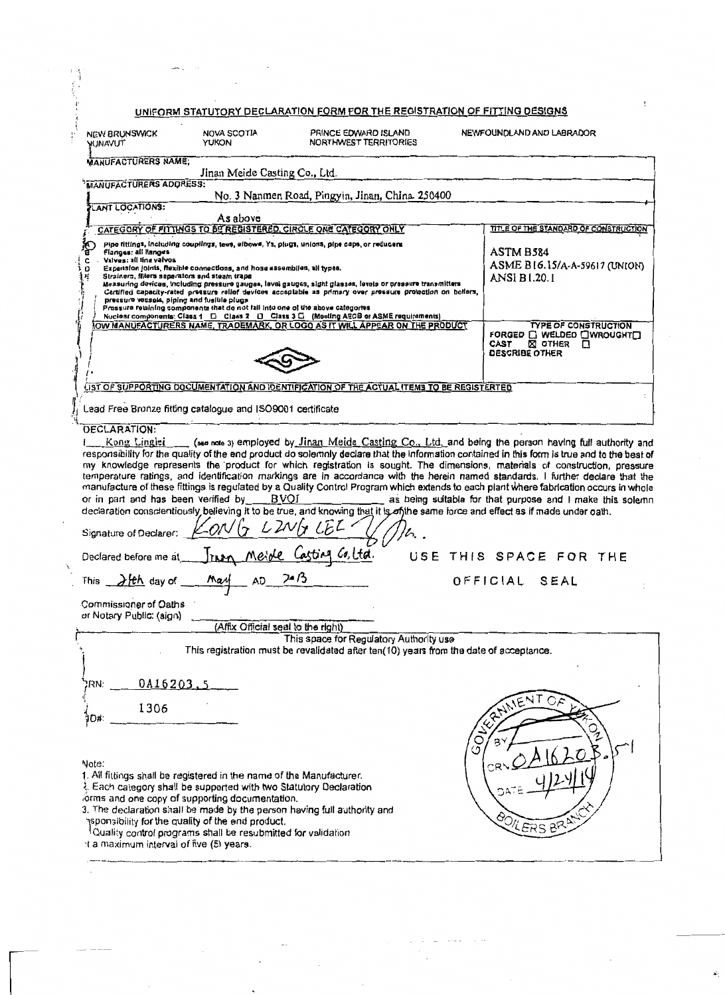|               |                                                 | UNIFORM STATUTORY DECLARATION FORM FOR THE REGISTRATION OF FITTING DESIGNS                                               |                                                                                                                                                                                                                                                                                                                                                                                                                                                                                                                                   |      |                                                                                |
|---------------|-------------------------------------------------|--------------------------------------------------------------------------------------------------------------------------|-----------------------------------------------------------------------------------------------------------------------------------------------------------------------------------------------------------------------------------------------------------------------------------------------------------------------------------------------------------------------------------------------------------------------------------------------------------------------------------------------------------------------------------|------|--------------------------------------------------------------------------------|
| NUNAVUT       | <b>NEW BRUNSWICK</b>                            | NOVA SCOTIA<br><b>YUKON</b>                                                                                              | PRINCE EDWARD ISLAND<br>NORTHWEST TERRITORIES                                                                                                                                                                                                                                                                                                                                                                                                                                                                                     |      | NEWFOUNDLAND AND LABRADOR                                                      |
|               | <b>MANUFACTURERS NAME;</b>                      |                                                                                                                          |                                                                                                                                                                                                                                                                                                                                                                                                                                                                                                                                   |      |                                                                                |
|               | <b>MANUFACTURERS ADDRESS:</b>                   | Jinan Meide Casting Co., Ltd.                                                                                            |                                                                                                                                                                                                                                                                                                                                                                                                                                                                                                                                   |      |                                                                                |
|               | <b>LANT LOCATIONS:</b>                          |                                                                                                                          | No. 3 Nanmen Road, Pingyin, Jinan, China. 250400                                                                                                                                                                                                                                                                                                                                                                                                                                                                                  |      |                                                                                |
|               |                                                 | As above                                                                                                                 |                                                                                                                                                                                                                                                                                                                                                                                                                                                                                                                                   |      |                                                                                |
|               |                                                 |                                                                                                                          | CATEGORY OF FITTINGS TO BE REGISTERED, CIRCLE ONE CATEGORY ONLY                                                                                                                                                                                                                                                                                                                                                                                                                                                                   |      | TITLE OF THE STANDARD OF CONSTRUCTION                                          |
| c             | Flanges; all flanges<br>Valves: all line valvos |                                                                                                                          | Pipe fittings, including couplings, tees, elbows, Ys, plugs, unions, pipe caps, or reducers                                                                                                                                                                                                                                                                                                                                                                                                                                       |      | ASTM B584                                                                      |
| D             |                                                 | Expension joints, flexible connections, and hose assemblies, all types.<br>Strainers, filters separators and steam traps |                                                                                                                                                                                                                                                                                                                                                                                                                                                                                                                                   |      | ASME B16.15/A-A-59617 (UNION)<br><b>ANSI B1.20.1</b>                           |
|               | pressure vessels, piping and fusible plugs      |                                                                                                                          | Measuring devices, including pressure gauges, level gauges, sight glasses, levels or pressure transmitters<br>Certified capacity-rated pressure relief devices acceptable as primary over pressure protection on bollers,                                                                                                                                                                                                                                                                                                         |      |                                                                                |
|               |                                                 | Pressure retaining components that do not fail into one of the above categories                                          | Nuclear components: Class 1 □ Class 2 □ Class 3 □ (Meeting AECB or ASME requirements)<br>OW MANUFACTURERS NAME, TRADEMARK, OR LOGO AS IT WILL APPEAR ON THE PRODUCT                                                                                                                                                                                                                                                                                                                                                               |      | <b>TYPE OF CONSTRUCTION</b>                                                    |
|               |                                                 |                                                                                                                          |                                                                                                                                                                                                                                                                                                                                                                                                                                                                                                                                   |      | FORGED [ ] WELDED [ ]WROUGHT [ ]<br>CAST<br>⊠ OTHER □<br><b>DESCRIBE OTHER</b> |
|               |                                                 |                                                                                                                          |                                                                                                                                                                                                                                                                                                                                                                                                                                                                                                                                   |      |                                                                                |
|               |                                                 |                                                                                                                          | LIST OF SUPPORTING DOCUMENTATION AND IDENTIFICATION OF THE ACTUAL ITEMS TO BE REGISTERTED                                                                                                                                                                                                                                                                                                                                                                                                                                         |      |                                                                                |
|               |                                                 |                                                                                                                          |                                                                                                                                                                                                                                                                                                                                                                                                                                                                                                                                   |      |                                                                                |
|               |                                                 | Lead Free Bronze fitting catalogue and ISO9001 certificate                                                               |                                                                                                                                                                                                                                                                                                                                                                                                                                                                                                                                   |      |                                                                                |
|               | <b>DECLARATION:</b>                             |                                                                                                                          | Kong Linglei (see note 3) employed by Jinan Meide Casting Co., Ltd. and being the person having full authority and<br>responsibility for the quality of the end product do solemnly declare that the information contained in this form is true and to the best of<br>my knowledge represents the product for which registration is sought. The dimensions, materials of construction, pressure<br>temperature ratings, and identification markings are in accordance with the herein named standards. I further declare that the |      |                                                                                |
|               |                                                 | or in part and has been verified by                                                                                      | manufacture of these fittings is regulated by a Quality Control Program which extends to each plant where fabrication occurs in whole<br><b>BVOI</b><br>declaration conscientiously believing it to be true, and knowing that it is on the same force and effect as if made under oath.                                                                                                                                                                                                                                           |      | as being suitable for that purpose and I make this solemn                      |
|               | Signature of Declarer:<br>Declared before me at |                                                                                                                          |                                                                                                                                                                                                                                                                                                                                                                                                                                                                                                                                   | USE  | THIS SPACE FOR THE                                                             |
|               |                                                 | Mart                                                                                                                     |                                                                                                                                                                                                                                                                                                                                                                                                                                                                                                                                   |      | OFFICIAL<br>SEAL                                                               |
|               | This $\lambda$ /th day of _                     |                                                                                                                          |                                                                                                                                                                                                                                                                                                                                                                                                                                                                                                                                   |      |                                                                                |
|               | Commissioner of Oaths                           |                                                                                                                          |                                                                                                                                                                                                                                                                                                                                                                                                                                                                                                                                   |      |                                                                                |
|               | or Notary Public: (sign)                        | (Affix Official seal to the right)                                                                                       |                                                                                                                                                                                                                                                                                                                                                                                                                                                                                                                                   |      |                                                                                |
|               |                                                 |                                                                                                                          | This space for Regulatory Authority use<br>This registration must be revalidated after ten(10) years from the date of acceptance.                                                                                                                                                                                                                                                                                                                                                                                                 |      |                                                                                |
| RN:           | 0A16203.5                                       |                                                                                                                          |                                                                                                                                                                                                                                                                                                                                                                                                                                                                                                                                   |      |                                                                                |
|               | 1306                                            |                                                                                                                          |                                                                                                                                                                                                                                                                                                                                                                                                                                                                                                                                   |      |                                                                                |
| 10#:<br>Note: |                                                 |                                                                                                                          |                                                                                                                                                                                                                                                                                                                                                                                                                                                                                                                                   | GOVE | $\hat{\sigma}_{\mathcal{I}_{\mathcal{T}_i}}$                                   |

 $\mathcal{L}^{(1)}$ 

 $\ddot{\cdot}$ 

 $\ddot{\phantom{0}}$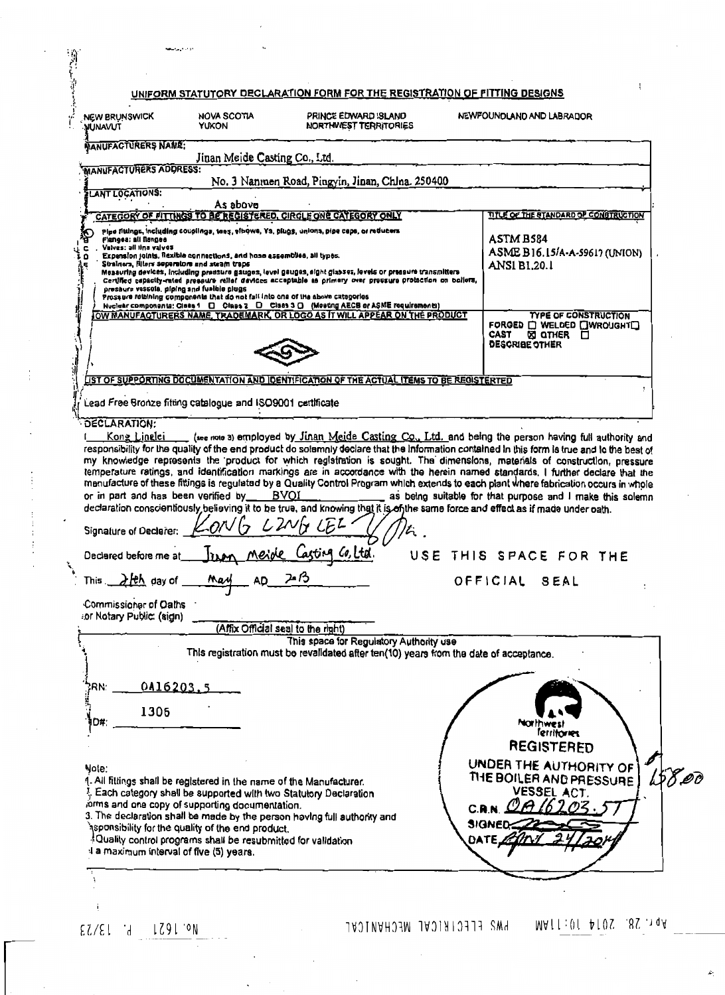| <b>NEW BRUNSWICK</b><br><b>JUNAVUT</b>                                                                                                                                                                                                                                                                                                                                 | NOVA SCOTIA<br><b>YUKON</b>        | PRINCE EDWARD ISLAND<br>NORTHWEST TERRITORIES                                                                                                                                                                                                                                                                                                                                                                                                                                                                                                                                                                                                                                                                                                                                                                 | NEWFOUNDLAND AND LABRADOR                                                                              |
|------------------------------------------------------------------------------------------------------------------------------------------------------------------------------------------------------------------------------------------------------------------------------------------------------------------------------------------------------------------------|------------------------------------|---------------------------------------------------------------------------------------------------------------------------------------------------------------------------------------------------------------------------------------------------------------------------------------------------------------------------------------------------------------------------------------------------------------------------------------------------------------------------------------------------------------------------------------------------------------------------------------------------------------------------------------------------------------------------------------------------------------------------------------------------------------------------------------------------------------|--------------------------------------------------------------------------------------------------------|
| MANUFACTURERS NAME:                                                                                                                                                                                                                                                                                                                                                    | Jinan Meide Casting Co., Ltd.      |                                                                                                                                                                                                                                                                                                                                                                                                                                                                                                                                                                                                                                                                                                                                                                                                               |                                                                                                        |
| <b>MANUFACTURERS ADDRESS:</b>                                                                                                                                                                                                                                                                                                                                          |                                    | No. 3 Nanmen Road, Pingyin, Jinan, Chlna. 250400                                                                                                                                                                                                                                                                                                                                                                                                                                                                                                                                                                                                                                                                                                                                                              |                                                                                                        |
| LANT LOCATIONS:                                                                                                                                                                                                                                                                                                                                                        |                                    |                                                                                                                                                                                                                                                                                                                                                                                                                                                                                                                                                                                                                                                                                                                                                                                                               |                                                                                                        |
|                                                                                                                                                                                                                                                                                                                                                                        | As above                           | CATEGORY OF FITTINGS TO BE REGISTERED, CIRCLE ONE CATEGORY ONLY                                                                                                                                                                                                                                                                                                                                                                                                                                                                                                                                                                                                                                                                                                                                               | TITLE OF THE STANDARD OF CONSTRUCTION                                                                  |
| Fignose: all Rangee<br>Valves: all lina valves<br>Expension joints, flexible connections, and hose assemblies, all types.<br>Strainers, filters separators and steam traps                                                                                                                                                                                             |                                    | Pipe fittings, including couplings, tees, elbows, Ys, plugs, unions, pipe caps, or reducers<br>Mesauring devices, including pressure gauges, level gauges, sight glasses, levels or pressure transmitters<br>Certified capacity-rated pressure relief davices acceptable as primary over pressure protection on bollers,                                                                                                                                                                                                                                                                                                                                                                                                                                                                                      | <b>ASTM B584</b><br>ASME B16.15/A-A-59617 (UNION)<br><b>ANSI B1.20.1</b>                               |
| pressure vessels, piping and fusible plugs<br>Prossure retaining components that do not fail into one of the above categories                                                                                                                                                                                                                                          |                                    | Nuclear components: Class 1 0 Class 2 0 Class 3 0 (Meeting AECB or ASME requirements)                                                                                                                                                                                                                                                                                                                                                                                                                                                                                                                                                                                                                                                                                                                         |                                                                                                        |
|                                                                                                                                                                                                                                                                                                                                                                        |                                    | OW MANUFACTURERS NAME, TRADEMARK, OR LOGO AS IT WILL APPEAR ON THE PRODUCT                                                                                                                                                                                                                                                                                                                                                                                                                                                                                                                                                                                                                                                                                                                                    | TYPE OF CONSTRUCTION<br>FORGED I WELDED IWROUGHT<br><b>SO OTHER D</b><br>CAST<br><b>DESCRIBE OTHER</b> |
|                                                                                                                                                                                                                                                                                                                                                                        |                                    | LIST OF SUPPORTING DOCUMENTATION AND IDENTIFICATION OF THE ACTUAL ITEMS TO BE REGISTERTED                                                                                                                                                                                                                                                                                                                                                                                                                                                                                                                                                                                                                                                                                                                     |                                                                                                        |
| Lead Free Bronze fitting catalogue and ISO9001 certificate                                                                                                                                                                                                                                                                                                             |                                    |                                                                                                                                                                                                                                                                                                                                                                                                                                                                                                                                                                                                                                                                                                                                                                                                               |                                                                                                        |
|                                                                                                                                                                                                                                                                                                                                                                        |                                    | Kong Linglei (see note 3) employed by Jinan Meide Casting Co., Ltd. and being the person having full authority and<br>responsibility for the quality of the end product do solumnly declare that the Information contained in this form is true and to the best of<br>my knowledge represents the product for which registration is sought. The dimensions, materials of construction, pressure<br>temperature ratings, and identification markings are in accordance with the herein named standards. I further declare that the<br>menufacture of these fittings is regulated by a Quality Control Program which extends to each plant where fabrication occurs in whole<br>declaration conscientiously believing it to be true, and knowing that it is of the same force and effect as if made under oath. | as being suitable for that purpose and I make this solemn                                              |
| Leh day of                                                                                                                                                                                                                                                                                                                                                             | May<br>AD                          | USE<br>20 B                                                                                                                                                                                                                                                                                                                                                                                                                                                                                                                                                                                                                                                                                                                                                                                                   | THIS SPACE FOR THE<br>OFFICIAL SEAL                                                                    |
|                                                                                                                                                                                                                                                                                                                                                                        |                                    |                                                                                                                                                                                                                                                                                                                                                                                                                                                                                                                                                                                                                                                                                                                                                                                                               |                                                                                                        |
|                                                                                                                                                                                                                                                                                                                                                                        | (Affix Official seal to the right) |                                                                                                                                                                                                                                                                                                                                                                                                                                                                                                                                                                                                                                                                                                                                                                                                               |                                                                                                        |
|                                                                                                                                                                                                                                                                                                                                                                        |                                    | This space for Regulatory Authority use<br>This registration must be revalidated after ten(10) years from the date of acceptance.                                                                                                                                                                                                                                                                                                                                                                                                                                                                                                                                                                                                                                                                             |                                                                                                        |
| 0A16203.5                                                                                                                                                                                                                                                                                                                                                              |                                    |                                                                                                                                                                                                                                                                                                                                                                                                                                                                                                                                                                                                                                                                                                                                                                                                               |                                                                                                        |
| or in part and has been verified by __ BVOI __ ________<br>Signature of Declarer:<br>Declared before me a<br>This $\_\_$<br>Commissioner of Oaths<br>or Notary Public: (sign)<br><b>RN:</b><br>1306<br>D#:                                                                                                                                                             |                                    |                                                                                                                                                                                                                                                                                                                                                                                                                                                                                                                                                                                                                                                                                                                                                                                                               | Northwest                                                                                              |
|                                                                                                                                                                                                                                                                                                                                                                        |                                    |                                                                                                                                                                                                                                                                                                                                                                                                                                                                                                                                                                                                                                                                                                                                                                                                               | ferritories<br><b>REGISTERED</b>                                                                       |
| Note:<br>4. All fittings shall be registered in the name of the Manufacturer.<br>ર્. Each category shall be supported with two Statutory Declaration<br>orms and one copy of supporting documentation.<br>asponsibility for the quality of the end product.<br>Duality control programs shall be resubmitted for validation<br>I a maximum interval of five (5) years. |                                    | 3. The declaration shall be made by the person having full authority and                                                                                                                                                                                                                                                                                                                                                                                                                                                                                                                                                                                                                                                                                                                                      | UNDER THE AUTHORITY OF<br>THE BOILER AND PRESSURE<br>VESSEL ACT.<br>C.R.N. O<br>03.5<br>SIGNED<br>DATE |

 $\label{eq:2.1} \frac{1}{\sqrt{2}}\int_{0}^{\infty}\frac{1}{\sqrt{2\pi}}\left(\frac{1}{\sqrt{2\pi}}\right)^{2}d\mu_{\rm{eff}}\,d\mu_{\rm{eff}}$ 

 $\mathcal{L}^{\text{max}}$ 

 $\overline{\phantom{a}}$ 

 $\mathcal{L}_{\text{max}}$  and the set of the set of  $\mathcal{L}_{\text{max}}$ 

 $\bar{\gamma}$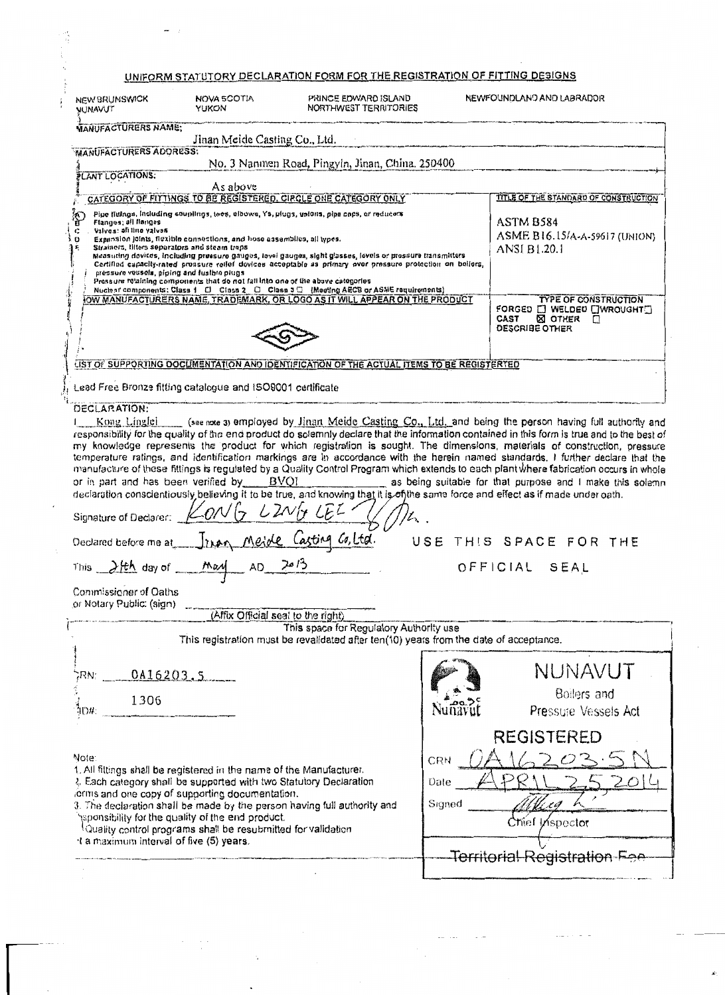| UNIFORM STATUTORY DECLARATION FORM FOR THE REGISTRATION OF FITTING DESIGNS                                                                                                                                                                                                                                                                                                                                                                                                                                                                                                                                    |        |                                                             |
|---------------------------------------------------------------------------------------------------------------------------------------------------------------------------------------------------------------------------------------------------------------------------------------------------------------------------------------------------------------------------------------------------------------------------------------------------------------------------------------------------------------------------------------------------------------------------------------------------------------|--------|-------------------------------------------------------------|
| PRINCE EDWARD ISLAND<br>NOVA SCOTIA<br><b>NEW BRUNSWICK</b><br>NORTHWEST TERRITORIES<br><b>YUKON</b><br><b>MUMAVUT</b>                                                                                                                                                                                                                                                                                                                                                                                                                                                                                        |        | NEWFOUNDLAND AND LABRADOR                                   |
| <b>MANUFACTURERS NAME:</b><br>Jinan Meide Casting Co., Ltd.                                                                                                                                                                                                                                                                                                                                                                                                                                                                                                                                                   |        |                                                             |
| <b>MANUFACTURERS ADDRESS:</b>                                                                                                                                                                                                                                                                                                                                                                                                                                                                                                                                                                                 |        |                                                             |
| No. 3 Nanmen Road, Pingyin, Jinan, China. 250400<br>PLANT LOCATIONS:                                                                                                                                                                                                                                                                                                                                                                                                                                                                                                                                          |        |                                                             |
| As above                                                                                                                                                                                                                                                                                                                                                                                                                                                                                                                                                                                                      |        |                                                             |
| CATEGORY OF FITTINGS TO BE REGISTERED, CIRCLE ONE CATEGORY ONLY<br>Pipe fittings, including countings, toos, elbows, Ys, plugs, unions, pipe caps, or reducers                                                                                                                                                                                                                                                                                                                                                                                                                                                |        | TITLE OF THE STANDARD OF CONSTRUCTION                       |
| Flanges; all flanges<br>Valves: all line valves<br>C                                                                                                                                                                                                                                                                                                                                                                                                                                                                                                                                                          |        | ASTM B584                                                   |
| Expansion joints, flexible connections, and hose assemblies, all types.<br>Ð<br>Strainers, filters separators and steam traps<br>∄÷,                                                                                                                                                                                                                                                                                                                                                                                                                                                                          |        | ASME B16.15/A-A-59617 (UNION)<br>ANSI B1.20.1               |
| Measuring dovices, including pressure gauges, level gauges, sight glasses, levels or prossure transmitters<br>Certified capacity-rated prossure relief dovices acceptable as primary over pressure protection on bollers,                                                                                                                                                                                                                                                                                                                                                                                     |        |                                                             |
| pressure vessels, piping and fusible plugs<br>Pressure retaining components that do not fall into one of the above categories<br>Nuclear components: Class 1 [ Class 2 [ Class 3 ] (Meeting AECB or ASME requirements)                                                                                                                                                                                                                                                                                                                                                                                        |        |                                                             |
| OW MANUFACTURERS NAME, TRADEMARK, OR LOGO AS IT WILL APPEAR ON THE PRODUCT                                                                                                                                                                                                                                                                                                                                                                                                                                                                                                                                    |        | <b>TYPE OF CONSTRUCTION</b><br>FORGED [ ] WELDED [ ]WROUGHT |
|                                                                                                                                                                                                                                                                                                                                                                                                                                                                                                                                                                                                               |        | CAST<br><b>X OTHER</b><br>€<br><b>DESCRIBE OTHER</b>        |
|                                                                                                                                                                                                                                                                                                                                                                                                                                                                                                                                                                                                               |        |                                                             |
| <b>LIST OF SUPPORTING DOCUMENTATION AND IDENTIFICATION OF THE ACTUAL ITEMS TO BE REGISTERTED</b>                                                                                                                                                                                                                                                                                                                                                                                                                                                                                                              |        |                                                             |
| Lead Free Bronze fitting catalogue and ISO9001 certificate                                                                                                                                                                                                                                                                                                                                                                                                                                                                                                                                                    |        |                                                             |
| DECLARATION:                                                                                                                                                                                                                                                                                                                                                                                                                                                                                                                                                                                                  |        |                                                             |
| my knowledge represents the product for which registration is sought. The dimensions, materials of construction, pressure<br>temperature ratings, and identification markings are in accordance with the herein named standards. I further declare that the<br>manufacture of these fittings is regulated by a Quality Control Program which extends to each plant where fabrication occurs in whole<br>or in part and has been verified by BVOI<br>declaration conscientiously believing it to be true, and knowing that it is of the same force and effect as if made under oath.<br>Signature of Declarer: |        | as being suitable for that purpose and I make this solemn   |
| Declared before me at Jinan Meide Casting Co, Ltd.                                                                                                                                                                                                                                                                                                                                                                                                                                                                                                                                                            |        | USE THIS SPACE FOR THE                                      |
| $AD = \frac{2d}{3}$<br>This $\frac{\partial f(t)}{\partial x}$ day of $\frac{f(x)}{g(x)}$                                                                                                                                                                                                                                                                                                                                                                                                                                                                                                                     |        | OFFICIAL SEAL                                               |
| Commissioner of Oaths<br>or Notary Public: (sign)<br>(Affix Official seal to the right)                                                                                                                                                                                                                                                                                                                                                                                                                                                                                                                       |        |                                                             |
| This space for Regulatory Authority use                                                                                                                                                                                                                                                                                                                                                                                                                                                                                                                                                                       |        |                                                             |
| This registration must be revalidated after ten(10) years from the date of acceptance.                                                                                                                                                                                                                                                                                                                                                                                                                                                                                                                        |        |                                                             |
| 0A16203.5<br>RN:                                                                                                                                                                                                                                                                                                                                                                                                                                                                                                                                                                                              |        | NUNAVUT                                                     |
| 1306                                                                                                                                                                                                                                                                                                                                                                                                                                                                                                                                                                                                          |        | Boilers and                                                 |
| 10#.                                                                                                                                                                                                                                                                                                                                                                                                                                                                                                                                                                                                          |        | Pressure Vessels Act                                        |
|                                                                                                                                                                                                                                                                                                                                                                                                                                                                                                                                                                                                               |        | <b>REGISTERED</b>                                           |
| Note:                                                                                                                                                                                                                                                                                                                                                                                                                                                                                                                                                                                                         | CRN    |                                                             |
| 1. All filtings shall be registered in the name of the Manufacturer.<br>2. Each category shall be supported with two Statutory Declaration                                                                                                                                                                                                                                                                                                                                                                                                                                                                    | Date   |                                                             |
| forms and one copy of supporting documentation.                                                                                                                                                                                                                                                                                                                                                                                                                                                                                                                                                               |        |                                                             |
| 3. The declaration shall be made by the person having full authority and<br>sponsibility for the quality of the end product.                                                                                                                                                                                                                                                                                                                                                                                                                                                                                  | Signed |                                                             |
| Quality control programs shall be resubmitted for validation                                                                                                                                                                                                                                                                                                                                                                                                                                                                                                                                                  |        | Chief<br><b>Inspector</b>                                   |
| It a maximum interval of five (5) years.                                                                                                                                                                                                                                                                                                                                                                                                                                                                                                                                                                      |        | Territorial Registration                                    |
|                                                                                                                                                                                                                                                                                                                                                                                                                                                                                                                                                                                                               |        |                                                             |

 $\frac{1}{2}$  .  $\frac{1}{2}$ 

 $\frac{1}{\sqrt{2}}\int_{0}^{\sqrt{2}}\frac{1}{\sqrt{2}}\left( \frac{1}{2}\right) ^{2}d\mu$ 

 $\label{eq:2} \frac{1}{\sqrt{2}}\left(\frac{1}{\sqrt{2}}\right)^2$ 

Ŷ,

 $\ddot{\phantom{0}}$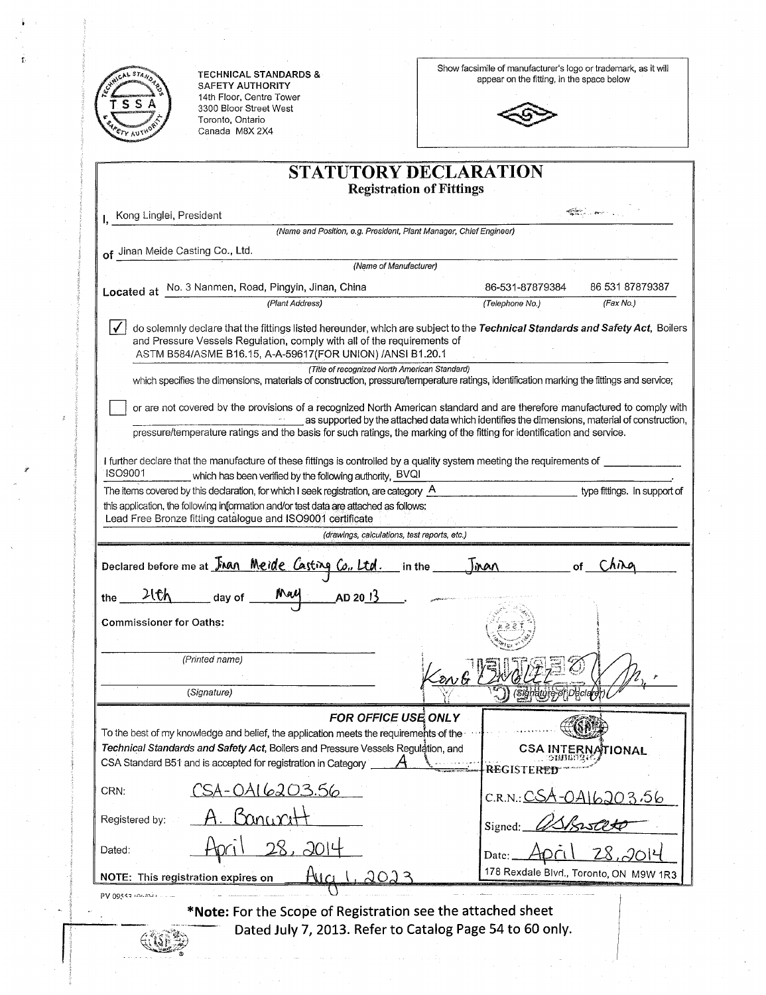|                                                                                                             |                                                                                                                                                                                                         |                                                                    | Show facsimile of manufacturer's logo or trademark, as it will                               |                                        |
|-------------------------------------------------------------------------------------------------------------|---------------------------------------------------------------------------------------------------------------------------------------------------------------------------------------------------------|--------------------------------------------------------------------|----------------------------------------------------------------------------------------------|----------------------------------------|
|                                                                                                             | <b>TECHNICAL STANDARDS &amp;</b><br><b>SAFETY AUTHORITY</b>                                                                                                                                             |                                                                    | appear on the fitting, in the space below                                                    |                                        |
| SSA                                                                                                         | 14th Floor, Centre Tower                                                                                                                                                                                |                                                                    |                                                                                              |                                        |
|                                                                                                             | 3300 Bloor Street West<br>Toronto, Ontario                                                                                                                                                              |                                                                    |                                                                                              |                                        |
|                                                                                                             | Canada M8X 2X4                                                                                                                                                                                          |                                                                    |                                                                                              |                                        |
|                                                                                                             |                                                                                                                                                                                                         |                                                                    |                                                                                              |                                        |
|                                                                                                             |                                                                                                                                                                                                         | STATUTORY DECLARATION                                              |                                                                                              |                                        |
|                                                                                                             |                                                                                                                                                                                                         | <b>Registration of Fittings</b>                                    |                                                                                              |                                        |
| I. Kong Linglei, President                                                                                  |                                                                                                                                                                                                         |                                                                    |                                                                                              | <b>Britain Company</b>                 |
|                                                                                                             |                                                                                                                                                                                                         | (Name and Position, e.g. President, Plant Manager, Chief Engineer) |                                                                                              |                                        |
| of Jinan Meide Casting Co., Ltd.                                                                            |                                                                                                                                                                                                         | (Name of Manufacturer)                                             |                                                                                              |                                        |
|                                                                                                             |                                                                                                                                                                                                         |                                                                    |                                                                                              |                                        |
|                                                                                                             | Located at No. 3 Nanmen, Road, Pingyin, Jinan, China<br>(Plant Address)                                                                                                                                 |                                                                    | 86-531-87879384<br>(Telephone No.)                                                           | 86 531 87879387<br>(Fax No.)           |
|                                                                                                             |                                                                                                                                                                                                         |                                                                    |                                                                                              |                                        |
|                                                                                                             | do solemnly declare that the fittings listed hereunder, which are subject to the Technical Standards and Safety Act, Boilers<br>and Pressure Vessels Regulation, comply with all of the requirements of |                                                                    |                                                                                              |                                        |
|                                                                                                             | ASTM B584/ASME B16.15, A-A-59617(FOR UNION) /ANSI B1.20.1                                                                                                                                               |                                                                    |                                                                                              |                                        |
|                                                                                                             |                                                                                                                                                                                                         | (Title of recognized North American Standard)                      |                                                                                              |                                        |
|                                                                                                             | which specifies the dimensions, materials of construction, pressure/temperature ratings, identification marking the fittings and service;                                                               |                                                                    |                                                                                              |                                        |
|                                                                                                             | or are not covered by the provisions of a recognized North American standard and are therefore manufactured to comply with                                                                              |                                                                    |                                                                                              |                                        |
|                                                                                                             | pressure/temperature ratings and the basis for such ratings, the marking of the fitting for identification and service.                                                                                 |                                                                    | as supported by the attached data which identifies the dimensions, material of construction, |                                        |
|                                                                                                             |                                                                                                                                                                                                         |                                                                    |                                                                                              |                                        |
|                                                                                                             | I further declare that the manufacture of these fittings is controlled by a quality system meeting the requirements of ________________                                                                 |                                                                    |                                                                                              |                                        |
| <b>ISO9001</b>                                                                                              | which has been verified by the following authority, BVQI                                                                                                                                                |                                                                    |                                                                                              |                                        |
|                                                                                                             |                                                                                                                                                                                                         |                                                                    |                                                                                              |                                        |
|                                                                                                             | The items covered by this declaration, for which I seek registration, are category $\mathsf A$                                                                                                          |                                                                    |                                                                                              |                                        |
|                                                                                                             | this application, the following information and/or test data are attached as follows:                                                                                                                   |                                                                    |                                                                                              | type fittings. In support of           |
|                                                                                                             | Lead Free Bronze fitting catalogue and ISO9001 certificate                                                                                                                                              | (drawings, calculations, test reports, etc.)                       |                                                                                              |                                        |
|                                                                                                             |                                                                                                                                                                                                         |                                                                    |                                                                                              |                                        |
|                                                                                                             |                                                                                                                                                                                                         | in the $\_$                                                        | Tinan                                                                                        | оf                                     |
|                                                                                                             | Declared before me at <i>Finan</i> Meide Casting Co., Ltd.                                                                                                                                              |                                                                    |                                                                                              |                                        |
| 21th                                                                                                        | May<br>AD2013<br>day of                                                                                                                                                                                 |                                                                    |                                                                                              |                                        |
|                                                                                                             |                                                                                                                                                                                                         |                                                                    |                                                                                              |                                        |
|                                                                                                             |                                                                                                                                                                                                         |                                                                    |                                                                                              |                                        |
|                                                                                                             | (Printed name)                                                                                                                                                                                          |                                                                    |                                                                                              |                                        |
|                                                                                                             |                                                                                                                                                                                                         | ∠on &                                                              |                                                                                              |                                        |
|                                                                                                             | (Signature)                                                                                                                                                                                             |                                                                    | e of Declare                                                                                 |                                        |
|                                                                                                             |                                                                                                                                                                                                         | <b>FOR OFFICE USE ONLY</b>                                         |                                                                                              |                                        |
|                                                                                                             | To the best of my knowledge and belief, the application meets the requirements of the                                                                                                                   |                                                                    |                                                                                              |                                        |
|                                                                                                             | Technical Standards and Safety Act, Boilers and Pressure Vessels Regulation, and                                                                                                                        |                                                                    |                                                                                              | CSA INTERNATIONAL                      |
|                                                                                                             | CSA Standard B51 and is accepted for registration in Category                                                                                                                                           |                                                                    | REGISTER                                                                                     |                                        |
|                                                                                                             | <u>-0A16203.56</u>                                                                                                                                                                                      |                                                                    |                                                                                              |                                        |
|                                                                                                             |                                                                                                                                                                                                         |                                                                    | C.R.N.: CSA-0A16203.56                                                                       |                                        |
|                                                                                                             |                                                                                                                                                                                                         |                                                                    | Signed:                                                                                      |                                        |
|                                                                                                             |                                                                                                                                                                                                         |                                                                    |                                                                                              |                                        |
|                                                                                                             |                                                                                                                                                                                                         |                                                                    | Date:                                                                                        |                                        |
|                                                                                                             | HIM<br>NOTE: This registration expires on                                                                                                                                                               |                                                                    |                                                                                              |                                        |
| the<br><b>Commissioner for Oaths:</b><br>CRN:<br>Registered by:<br>Dated:<br>PV 09553 <i>IDIJO33</i> - - -- |                                                                                                                                                                                                         |                                                                    |                                                                                              |                                        |
|                                                                                                             | *Note: For the Scope of Registration see the attached sheet                                                                                                                                             |                                                                    |                                                                                              |                                        |
|                                                                                                             | Dated July 7, 2013. Refer to Catalog Page 54 to 60 only.                                                                                                                                                |                                                                    |                                                                                              | 178 Rexdale Blvd., Toronto, ON M9W 1R3 |

 $\frac{1}{2}$ 

 $\mathbf{z}^{\dagger}$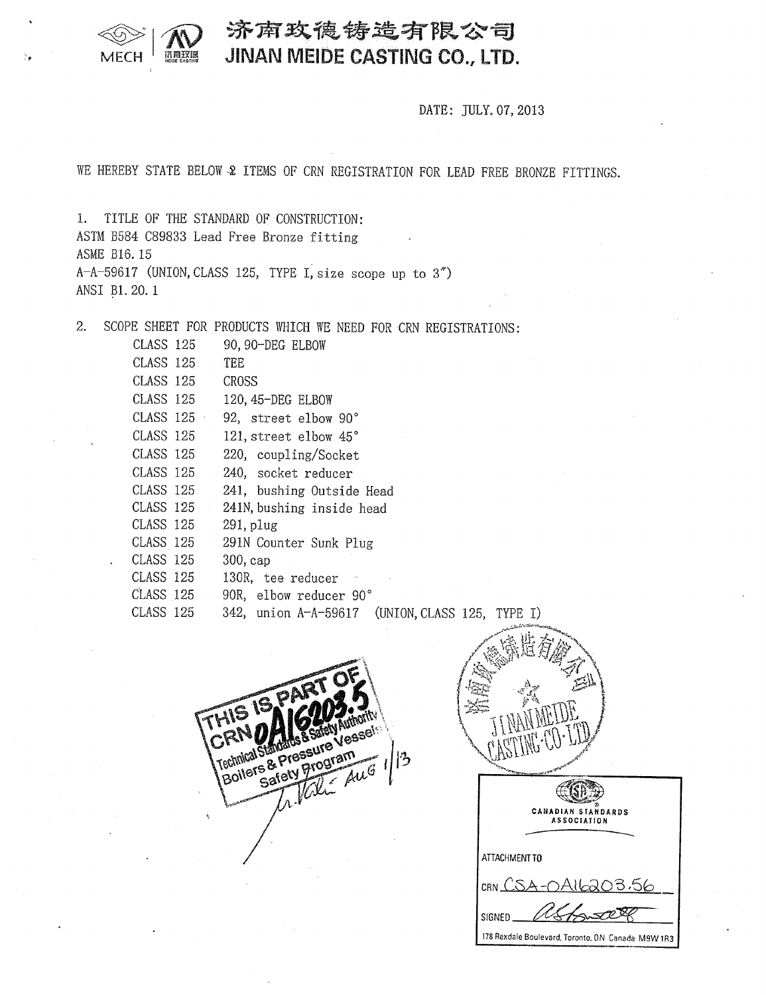

## 济南玫德铸造有限公司 JINAN MEIDE CASTING CO., LTD.

DATE: JULY. 07, 2013

WE HEREBY STATE BELOW 2 ITEMS OF CRN REGISTRATION FOR LEAD FREE BRONZE FITTINGS.

1. TITLE OF THE STANDARD OF CONSTRUCTION: ASTM B584 C89833 Lead Free Bronze fitting ASME B16.15 A—A-59617 (UNION, CLASS 125, TYPE I, size scope up to 3") ANSI B1.20.1

2. SCOPE SHEET FOR PRODUCTS WHICH WE NEED FOR CRN REGISTRATIONS:

| CLASS 125 | 90,90-DEG ELBOW                                                       |
|-----------|-----------------------------------------------------------------------|
| CLASS 125 | TEE                                                                   |
| CLASS 125 | CROSS                                                                 |
| CLASS 125 | 120, 45-DEG ELBOW                                                     |
| CLASS 125 | 92, street elbow 90°                                                  |
| CLASS 125 | 121, street elbow 45°                                                 |
| CLASS 125 | 220, coupling/Socket                                                  |
| CLASS 125 | 240, socket reducer                                                   |
| CLASS 125 | 241, bushing Outside Head                                             |
| CLASS 125 | 241N, bushing inside head                                             |
| CLASS 125 | $291$ , plug                                                          |
| CLASS 125 | 291N Counter Sunk Plug                                                |
| CLASS 125 | $300$ , cap                                                           |
| CLASS 125 | 130R, tee reducer<br>$\sim$ $\sim$                                    |
| CLASS 125 | 90R, elbow reducer 90°                                                |
| CLASS 125 | 342, union A-A-59617<br>(UNION, CLASS 125, TYPE I)<br>an Chainmed and |



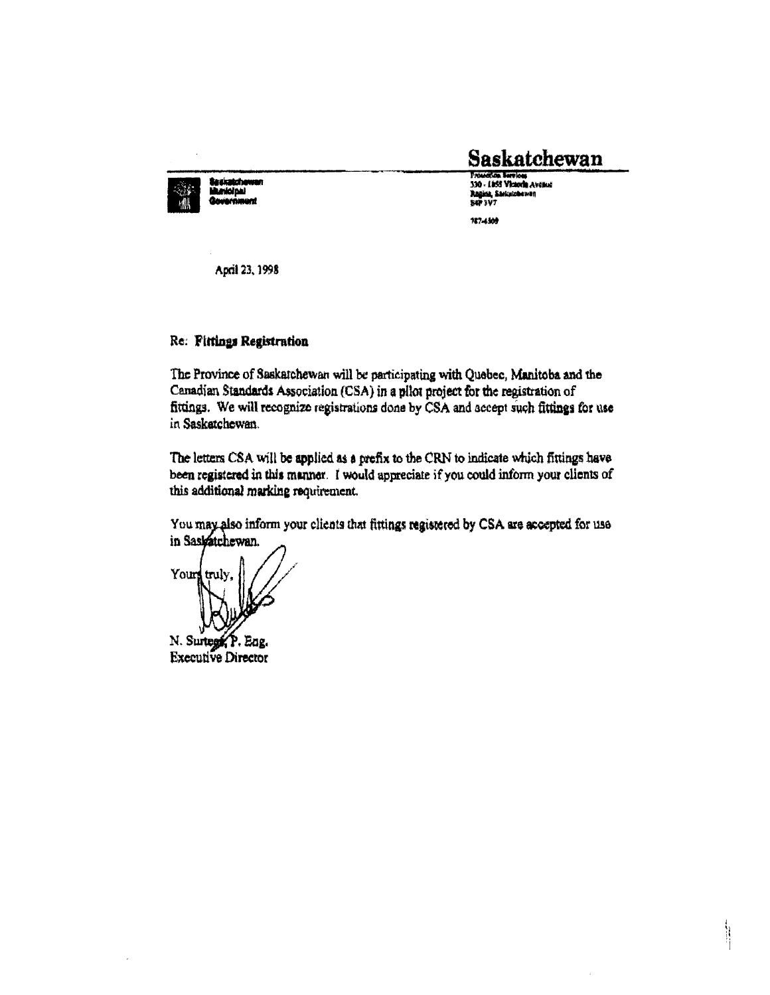**Saskatchewan** 

330 - 1855 Victoria Avenue kar ik, Kantzulehesuko  $50.39$ 

187-4509

April 23, 1998

**Resistados** 

**Limici pull** 

## Re: Fittings Registration

The Province of Saskatchewan will be participating with Quebec, Manitoba and the Canadian Standards Association (CSA) in a pllot project for the registration of fittings. We will recognize registrations done by CSA and accept such fittings for use in Saskatchewan.

The letters CSA will be applied as a prefix to the CRN to indicate which fittings have been registered in this manner. I would appreciate if you could inform your clients of this additional marking requirement.

You may also inform your clients that fittings registered by CSA are accepted for use in Saskatchewan.

Yours truly N. Surtega, P. Eng. **Executive Director**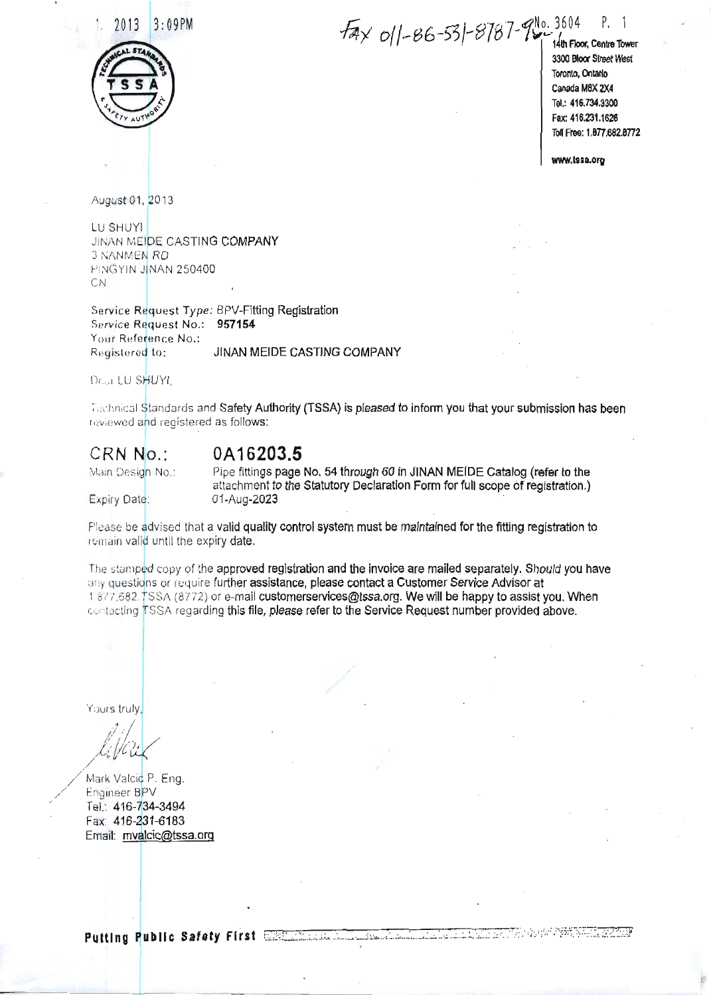$3:09PM$ 2013



 $77 \times 011 - 86 - 531 - 8787 - 980.3604$ 14th Floor. Centre Tower 3300 Bloor Street West Toronto, Ontario Canada M8X 2X4 Tel.: 416,734,3300 Fax: 416.231.1626 Toll Free: 1.877.682.8772

www.tssa.org

<u> E TEACH AN DEACH AN DEACH AN DEACH AN DEACH AN DEACH AN DEACH AN DEACH AN DEACH AN DEACH AN DEACH AN DEACH AN</u>

August 01, 2013

LU SHUYI **JINAN MEIDE CASTING COMPANY 3 NANMEN RD** PINGYIN JINAN 250400 CN

Service Request Type: BPV-Fitting Registration Service Request No.: 957154 Your Reference No.: Registered to: JINAN MEIDE CASTING COMPANY

Dear LU SHUYI,

Tachnical Standards and Safety Authority (TSSA) is pleased to inform you that your submission has been reviewed and registered as follows:

## CRN No.:

## 0A16203.5

Main Design No.:

Pipe fittings page No. 54 through 60 in JINAN MEIDE Catalog (refer to the attachment to the Statutory Declaration Form for full scope of registration.) 01-Aug-2023

Expiry Date:

Please be advised that a valid quality control system must be maintained for the fitting registration to remain valid until the expiry date.

The stamped copy of the approved registration and the invoice are mailed separately. Should you have any questions or require further assistance, please contact a Customer Service Advisor at 1877.682. TSSA (8772) or e-mail customerservices@tssa.org. We will be happy to assist you. When contacting TSSA regarding this file, please refer to the Service Request number provided above.

Yours truly,

Mark Valcic P. Eng. Engineer BPV Tel.: 416-734-3494 Fax: 416-231-6183 Email: mvalcic@tssa.org

Putting Public Safety First Communication and The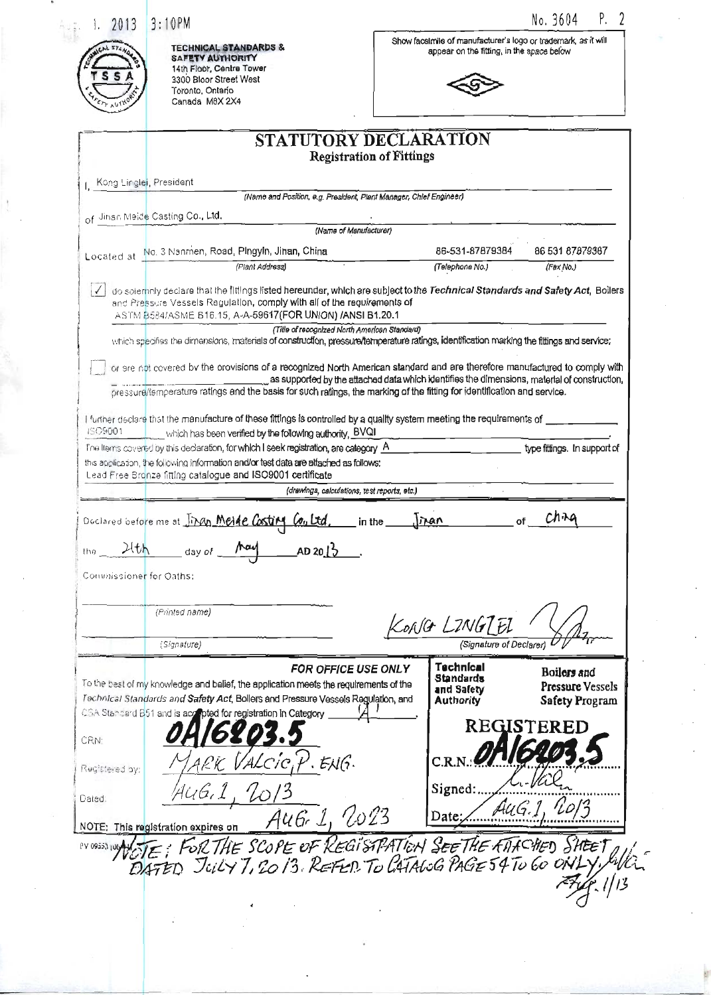|                                | 3:10PM                                                                                                                                                                                     |                                                                                                             | No. 3604<br>P.               |
|--------------------------------|--------------------------------------------------------------------------------------------------------------------------------------------------------------------------------------------|-------------------------------------------------------------------------------------------------------------|------------------------------|
|                                | <b>TECHNICAL STANDARDS &amp;</b><br>SAFETY AUTHORITY                                                                                                                                       | Show facsimile of manufacturer's logo or trademark, as it will<br>appear on the fitting, in the space below |                              |
|                                | 14th Floor, Centre Tower                                                                                                                                                                   |                                                                                                             |                              |
|                                | 3300 Bloor Street West<br>Toronto, Ontario                                                                                                                                                 |                                                                                                             |                              |
|                                | Canada M8X 2X4                                                                                                                                                                             |                                                                                                             |                              |
|                                |                                                                                                                                                                                            | STATUTORY DECLARATION                                                                                       |                              |
|                                |                                                                                                                                                                                            | <b>Registration of Fittings</b>                                                                             |                              |
|                                | Kong Linglei, President                                                                                                                                                                    |                                                                                                             |                              |
|                                | (Name and Position, e.g. President, Plant Manager, Chief Engineer)                                                                                                                         |                                                                                                             |                              |
|                                | of Jinan Meide Casting Co., Ltd.<br>(Name of Manufacturer)                                                                                                                                 |                                                                                                             |                              |
|                                | Located at No. 3 Nanmen, Road, Pingyin, Jinan, China                                                                                                                                       | 86-531-87879384                                                                                             | 86 531 87879387              |
|                                | (Plant Address)                                                                                                                                                                            | (Telephone No.)                                                                                             | (Fax No.)                    |
|                                | do solemnly declare that the fittings listed hereunder, which are subject to the Technical Standards and Safety Act, Boilers                                                               |                                                                                                             |                              |
|                                | and Pressure Vessels Ragulation, comply with all of the requirements of<br>ASTM B584/ASME B16.15, A-A-59617(FOR UNION) /ANSI B1.20.1                                                       |                                                                                                             |                              |
|                                | (Title of recognized North American Standard)<br>which specifies the dimensions, materials of construction, pressure/temperature ratings, identification marking the filtings and service; |                                                                                                             |                              |
|                                |                                                                                                                                                                                            |                                                                                                             |                              |
|                                | or are not covered by the provisions of a recognized North American standard and are therefore manufactured to comply with                                                                 | $\equiv$ as supported by the attached data which identifies the dimensions, material of construction,       |                              |
|                                | pressure/lemperature ratings and the basis for such ratings, the marking of the fitting for identification and service.                                                                    |                                                                                                             |                              |
|                                | I further declare that the manufacture of these fittings is controlled by a quality system meeting the requirements of _                                                                   |                                                                                                             |                              |
| ISC9001                        | which has been verified by the following authority, BVQI                                                                                                                                   |                                                                                                             |                              |
|                                |                                                                                                                                                                                            |                                                                                                             |                              |
|                                | The liems covered by this declaration, for which I seek registration, are category A                                                                                                       |                                                                                                             | type fittings. In support of |
|                                | this application, the following information and/or test data are attached as follows:<br>Lead Free Bronze fitting catalogue and ISO9001 certificate                                        |                                                                                                             |                              |
|                                | (drawings, calculations, test reports, etc.)                                                                                                                                               |                                                                                                             |                              |
|                                |                                                                                                                                                                                            |                                                                                                             |                              |
|                                | Declared before me at Jinan Meine Costing Co., Ltd.                                                                                                                                        | in the $\sqrt{n}$                                                                                           | chine<br>of                  |
|                                | $21th$ day of May<br>AD 20.1 <sup>2</sup>                                                                                                                                                  |                                                                                                             |                              |
|                                |                                                                                                                                                                                            |                                                                                                             |                              |
|                                |                                                                                                                                                                                            |                                                                                                             |                              |
|                                | (Printed name)                                                                                                                                                                             |                                                                                                             |                              |
|                                |                                                                                                                                                                                            | KONG LINGTEL                                                                                                |                              |
| the<br>Commissioner for Oaths: | (Signature)                                                                                                                                                                                | (Signature of Declarer)                                                                                     |                              |
|                                | <b>FOR OFFICE USE ONLY</b>                                                                                                                                                                 | <b>Technical</b><br><b>Standards</b>                                                                        | Boilers and                  |
|                                | To the best of my knowledge and balief, the application meets the requirements of the                                                                                                      | and Safety                                                                                                  | <b>Pressure Vessels</b>      |
|                                | Technical Standards and Safety Act, Bollers and Pressure Vessels Regulation, and<br>CSA Standard B51 and is accepted for registration in Category                                          | <b>Authority</b>                                                                                            | <b>Safety Program</b>        |
|                                |                                                                                                                                                                                            |                                                                                                             | REGISTERED                   |
|                                |                                                                                                                                                                                            |                                                                                                             |                              |
| CRN:<br>Registered by:         | ALCICIP ENG.                                                                                                                                                                               |                                                                                                             |                              |
|                                | 4Ц6,                                                                                                                                                                                       | Signed:                                                                                                     |                              |
| Dated:                         |                                                                                                                                                                                            | AuG. I<br>Date:                                                                                             |                              |
|                                | AUG. 1, 2023<br>NOTE: This registration expires on                                                                                                                                         |                                                                                                             |                              |
|                                |                                                                                                                                                                                            |                                                                                                             |                              |
|                                | PY OBSS INNOTE: FOR THE SCOPE OF REGISTRATION SEE THE ETTERTIED SHEET                                                                                                                      |                                                                                                             |                              |

10.00